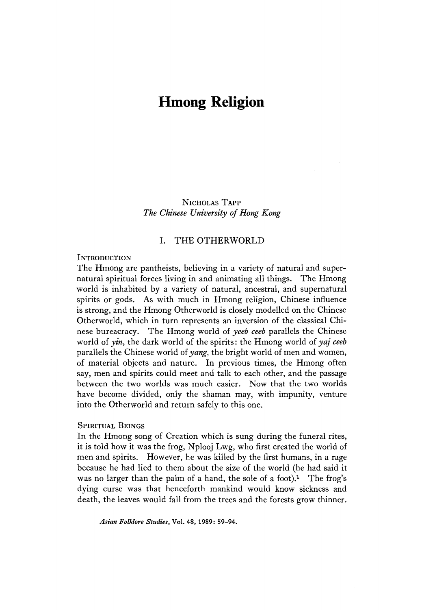# **Hmong Religion**

NICHOLAS TAPP *The Chinese University of Hong Kong*

# I. THE OTHERWORLD

#### INTRODUCTION

The Hmong are pantheists, believing in a variety of natural and supernatural spiritual forces living in and animating all things. The Hmong world is inhabited by a variety of natural, ancestral, and supernatural spirits or gods. As with much in Hmong religion, Chinese influence is strong, and the Hmong Otherworld is closely modelled on the Chinese Otherworld, which in turn represents an inversion of the classical Chinese bureacracy. The Hmong world of *yeeb ceeb* parallels the Chinese world of *yin*, the dark world of the spirits: the Hmong world of *yaj ceeb* parallels the Chinese world of *yang,* the bright world of men and women, of material objects and nature. In previous times, the Hmong often say, men and spirits could meet and talk to each other, and the passage between the two worlds was much easier. Now that the two worlds have become divided, only the shaman may, with impunity, venture into the Otherworld and return safely to this one.

#### SPIRITUAL BEINGS

In the Hmong song of Creation which is sung during the funeral rites, it is told how it was the frog, Nplooj Lwg, who first created the world of men and spirits. However, he was killed by the first humans, in a rage because he had lied to them about the size of the world (he had said it was no larger than the palm of a hand, the sole of a foot).<sup>1</sup> The frog's dying curse was that henceforth mankind would know sickness and death, the leaves would fall from the trees and the forests grow thinner.

*Asian Folklore Studies*, Vol. 48, 1989: 59-94.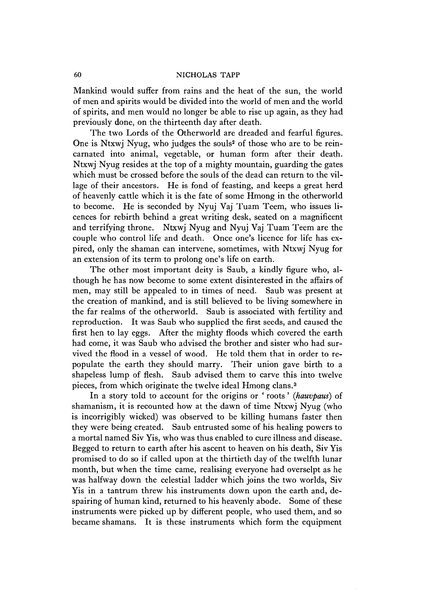Mankind would suffer from rains and the heat of the sun, the world of men and spirits would be divided into the world of men and the world of spirits, and men would no longer be able to rise up again, as they had previously done, on the thirteenth day after death.

The two Lords of the Otherworld are dreaded and fearful figures. One is Ntxwj Nyug, who judges the souls<sup>2</sup> of those who are to be reincarnated into animal, vegetable, or human form after their death. Ntxwj Nyug resides at the top of a mighty mountain, guarding the gates which must be crossed before the souls of the dead can return to the village of their ancestors. He is fond of feasting, and keeps a great herd of heavenly cattle which it is the fate of some Hmong in the otherworld to become. He is seconded by Nyuj Vaj Tuam Teem, who issues licences for rebirth behind a great writing desk, seated on a magnificent and terrifying throne. Ntxwj Nyug and Nyuj Vaj Tuam Teem are the couple who control life and death. Once one's licence for life has expired, only the shaman can intervene, sometimes, witn Ntxwj Nyug for an extension of its term to prolong one's life on earth.

The other most important deity is Saub, a kindly figure who, although he has now become to some extent disinterested in the affairs of men, may still be appealed to in times of need. Saub was present at the creation of mankind, and is still believed to be living somewhere in the far realms of the otherworld. Saub is associated with fertility and reproduction. It was Saub who supplied the first seeds, and caused the first hen to lay eggs. After the mighty floods which covered the earth had come, it was Saub who advised the brother and sister who had survived the flood in a vessel of wood. He told them that in order to repopulate the earth they should marry. Their union gave birth to a shapeless lump of flesh. Saub advised them to carve this into twelve pieces, from which originate the twelve ideal Hmong clans.3

In a story told to account for the origins or 'roots' (hauvpaus) of shamanism, it is recounted how at the dawn of time Ntxwj Nyug (who is incorrigibly wicked) was observed to be killing humans faster then they were being created. Saub entrusted some of his healing powers to a mortal named Siv Yis, who was thus enabled to cure illness and disease. Begged to return to earth after his ascent to heaven on his death, Siv Yis promised to do so if called upon at the thirtieth day of the twelfth lunar month, but when the time came, realising everyone had overselpt as he was halfway down the celestial ladder which joins the two worlds, Siv Yis in a tantrum threw his instruments down upon the earth and, despairing of human kind, returned to his heavenly abode. Some of these instruments were picked up by different people, who used them, and so became shamans. It is these instruments which form the equipment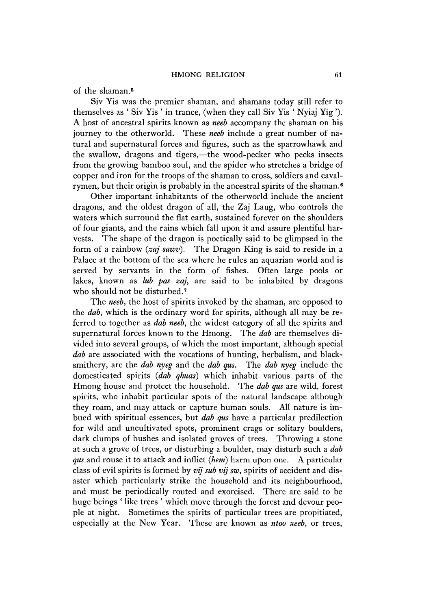of the shaman.5

Siv Yis was the premier shaman, and shamans today still refer to themselves as 'Siv Yis ' in trance, (when they call Siv Yis 'Nyiaj Yig '). A host of ancestral spirits known as *neeb* accompany the shaman on his journey to the otherworld. These *neeb* include a great number of natural and supernatural forces and figures, such as the sparrowhawk and the swallow, dragons and tigers,—the wood-pecker who pecks insects from the growing bamboo soul, and the spider who stretches a bridge of copper and iron for the troops of the shaman to cross, soldiers and cavalrymen, but their origin is probably in the ancestral spirits of the shaman.6

Other important inhabitants of the otherworld include the ancient dragons, and the oldest dragon of all, the Zaj Laug, who controls the waters which surround the flat earth, sustained forever on the shoulders of four giants, and the rains which fall upon it and assure plentiful harvests. The shape of the dragon is poetically said to be glimpsed in the form of a rainbow (*zaj sawv*). The Dragon King is said to reside in a Palace at the bottom of the sea where he rules an aquarian world and is served by servants in the form of fishes. Often large pools or lakes, known as *lub pas zaj*, are said to be inhabited by dragons who should not be disturbed.<sup>7</sup>

The *neeb*, the host of spirits invoked by the shaman, are opposed to the *dab,* which is the ordinary word for spirits, although all may be referred to together as *dab neeb,* the widest category of all the spirits and supernatural forces known to the Hmong. The *dab* are themselves divided into several groups, of which the most important, although special *dab* are associated with the vocations of hunting, herbalism, and blacksmithery, are the *dab nyeg* and the *dab qus.* The *dab nyeg* include the domesticated spirits *{dab qhuas)* which inhabit various parts of the Hmong house and protect the household. The *dab qus* are wild, forest spirits, who inhabit particular spots of the natural landscape although they roam, and may attack or capture human souls. All nature is imbued with spiritual essences, but *dab qus* have a particular predilection for wild and uncultivated spots, prominent crags or solitary boulders, dark clumps of bushes and isolated groves of trees. Throwing a stone at such a grove of trees, or disturbing a boulder, may disturb such a *dab qus* and rouse it to attack and inflict *(hem)* harm upon one. A particular class of evil spirits is formed by *vij sub vij sw*, spirits of accident and disaster which particularly strike the household and its neighbourhood, and must be periodically routed and exorcised. There are said to be huge beings ' like trees ' which move through the forest and devour people at night. Sometimes the spirits of particular trees are propitiated, especially at the New Year. These are known as *ntoo xeeb,* or trees,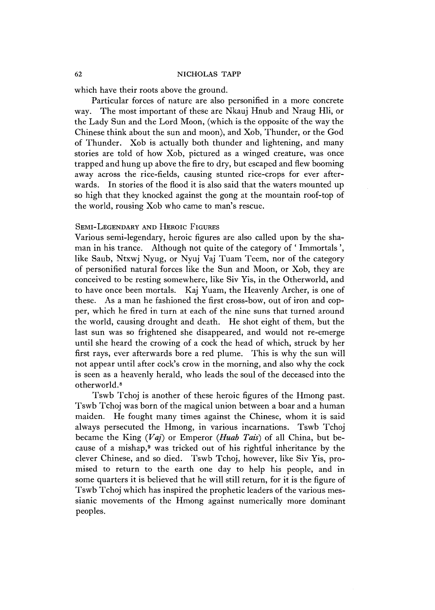which have their roots above the ground.

Particular forces of nature are also personified in a more concrete way. The most important of these are Nkauj Hnub and Nraug Hli, or the Lady Sun and the Lord Moon, (which is the opposite of the way the Chinese think about the sun and moon), and Xob, Thunder, or the God of Thunder. Xob is actually both thunder and lightening, and many stories are told of how Xob, pictured as a winged creature, was once trapped and hung up above the fire to dry, but escaped and flew booming away across the rice-fields, causing stunted rice-crops for ever afterwards. In stories of the flood it is also said that the waters mounted up so high that they knocked against the gong at the mountain roof-top of the world, rousing Xob who came to man's rescue.

# SEMI-LEGENDARY AND HEROIC FIGURES

Various semi-legendary, heroic figures are also called upon by the shaman in his trance. Although not quite of the category of 'Immortals', like Saub, Ntxwj Nyug, or Nyuj Vaj Tuam Teem, nor of the category of personified natural forces like the Sun and Moon, or Xob, they are conceived to be resting somewhere, like Siv Yis, in the Otherworld, and to have once been mortals. Kaj Yuam, the Heavenly Archer, is one of these. As a man he fashioned the first cross-bow, out of iron and copper, which he fired in turn at each of the nine suns that turned around the world, causing drought and death. He shot eight of them, but the last sun was so frightened she disappeared, and would not re-emerge until she heard the crowing of a cock the head of wnich, struck by her first rays, ever afterwards bore a red plume. This is why the sun will not appear until after cock's crow in the morning, and also why the cock is seen as a heavenly herald, who leads the soul of the deceased into the otherworld.8

Tswb Tchoj is another of these heroic figures of the Hmong past. Tswb Tchoj was born of the magical union between a boar and a human maiden. He fought many times against the Chinese, whom it is said always persecuted the Hmong, in various incarnations. Tswb Tchoj became the King *{Vaj)* or Emperor *{Huab Tats)* of all China, but because of a mishap,9 was tricked out of his rightful inheritance by the clever Chinese, and so died. Tswb Tchoj, however, like Siv Yis, promised to return to the earth one day to help his people, and in some quarters it is believed that he will still return, for it is the figure of Tswb Tchoj which has inspired the prophetic leaders of the various messianic movements of the Hmong against numerically more dominant peoples.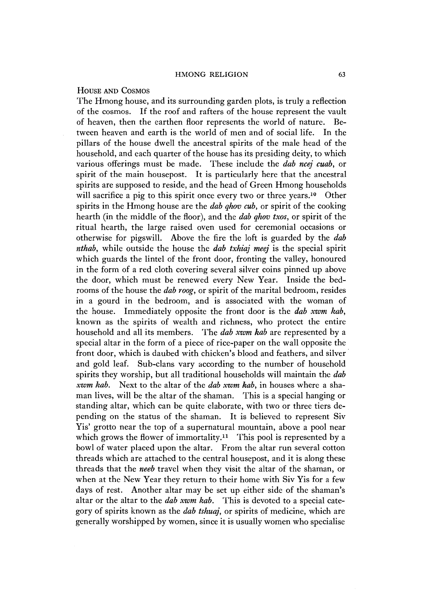# HOUSE AND COSMOS

The Hmong house, and its surrounding garden plots, is truly a reflection of the cosmos. If the roof and rafters of the house represent the vault of heaven, then the earthen floor represents the world of nature. Between heaven and earth is the world of men and of social life. In the pillars of the house dwell the ancestral spirits of the male head of the household, and each quarter of the house has its presiding deity, to which various offerings must be made. These include the *dab ncej cuab*, or spirit of the main housepost. It is particularly here that the ancestral spirits are supposed to reside, and the head of Green Hmong households will sacrifice a pig to this spirit once every two or three years.<sup>10</sup> Other spirits in the Hmong house are the *dab qhov cub,* or spirit of the cooking hearth (in the middle of the floor), and the *dab qhov txos,* or spirit of the ritual hearth, the large raised oven used for ceremonial occasions or otherwise for pigswill. Above the fire the loft is guarded by the *dab nthab,* while outside the house the *dab txhiaj meej* is the special spirit which guards the lintel of the front door, fronting the valley, honoured in the form of a red cloth covering several silver coins pinned up above the door, which must be renewed every New Year. Inside the bedrooms of the house the *dab roog,* or spirit of the marital bedroom, resides in a gourd in the bedroom, and is associated with the woman of the house. Immediately opposite the front door is the *dab xwm kab,* known as the spirits of wealth and richness, who protect the entire household and all its members. The *dab xwm kab* are represented by a special altar in the form of a piece of rice-paper on the wall opposite the front door, which is daubed with chicken's blood and feathers, and silver and gold leaf. Sub-clans vary according to the number of household spirits they worship, but all traditional households will maintain the *dab xwm kab.* Next to the altar of the *dab xwm kab,* in houses where a shaman lives, will be the altar of the shaman. This is a special hanging or standing altar, which can be quite elaborate, with two or three tiers depending on the status of the shaman. It is believed to represent Siv Yis' grotto near the top of a supernatural mountain, above a pool near which grows the flower of immortality.<sup>11</sup> This pool is represented by a bowl of water placed upon the altar. From the altar run several cotton threads which are attached to the central housepost, and it is along these threads that the *neeb* travel when they visit the altar of the shaman, or when at the New Year they return to their home with Siv Yis for a few days of rest. Another altar may be set up either side of the shaman's altar or the altar to the *dab xwm kab.* This is devoted to a special category of spirits known as the *dab tshuaj,* or spirits of medicine, which are generally worshipped by women, since it is usually women who specialise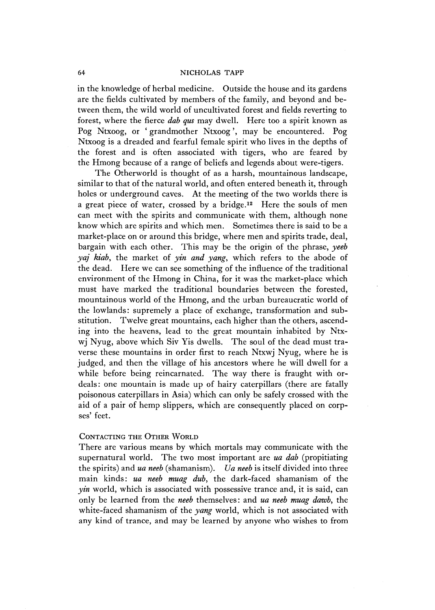in the knowledge of herbal medicine. Outside the house and its gardens are the fields cultivated by members of the family, and beyond and between them, the wild world of uncultivated forest and fields reverting to forest, where the fierce *dab qus* may dwell. Here too a spirit known as Pog Ntxoog, or 'grandmother Ntxoog', may be encountered. Pog Ntxoog is a dreaded and fearful female spirit who lives in the depths of the forest and is often associated with tigers, who are feared by the Hmong because of a range of beliefs and legends about were-tigers.

The Otherworld is thought of as a harsh, mountainous landscape, similar to that of the natural world, and often entered beneath it, through holes or underground caves. At the meeting of the two worlds there is a great piece of water, crossed by a bridge.12 Here the souls of men can meet with the spirits and communicate with them, although none know which are spirits and wnich men. Sometimes there is said to be a market-place on or around this bridge, where men and spirits trade, deal, bargain with each other. This may be the origin of the phrase, *yeeb yaj kiab*, the market of *yin and yang*, which refers to the abode of the dead. Here we can see something of the influence of the traditional environment of the Hmong in China, for it was the market-place which must have marked the traditional boundaries between the forested, mountainous world of the Hmong, and the urban bureaucratic world of the lowlands: supremely a place of exchange, transformation and substitution. Twelve great mountains, each higher than the others, ascending into the heavens, lead to the great mountain inhabited by Ntxwj Nyug, above wnich siv Yis dwells. The soul of the dead must traverse these mountains in order first to reach Ntxwj Nyug, where he is judged, and then the village of his ancestors where he will dwell for a while before being reincarnated. The way there is fraught with ordeals: one mountain is made up of hairy caterpillars (there are fatally poisonous caterpillars in Asia) which can only be safely crossed with the aid of a pair of hemp slippers, which are consequently placed on corpses' feet.

# CONTACTING THE OTHER WORLD

There are various means by which mortals may communicate with the supernatural world. The two most important are *ua dab* (propitiating the spirits) and *ua neeb* (shamanism). *Ua neeb* is itself divided into three main kinds: *ua neeb muag dub,* the dark-faced shamanism of the *yin* world, which is associated with possessive trance and, it is said, can only be learned from the *neeb* themselves: and *ua neeb muag dawb*, the white-faced shamanism of the *yang* world, which is not associated with any Kind of trance, and may be learned by anyone who wishes to from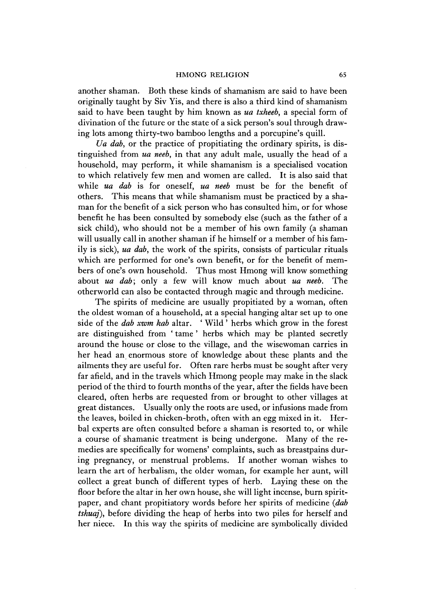another shaman. Both these kinds of shamanism are said to have been originally taught by Siv Yis, and there is also a third kind of shamanism said to have been taught by him known as *ua txheeh* a special form of divination of the future or the state of a sick person's soul through drawing lots among thirty-two bamboo lengths and a porcupine's quill.

*Ua dab,* or the practice of propitiating the ordinary spirits, is distinguished from *ua neeb*、in that any adult male, usually the head of a household, may perform, it while shamanism is a specialised vocation to which relatively few men and women are called. It is also said that while *ua dab* is for oneself, *ua neeb* must be for the benefit of others. This means that while shamanism must be practiced by a shaman for the benefit of a sick person who has consulted him, or for whose benefit he has been consulted by somebody else (such as the father of a sick child), who should not be a member of his own family (a shaman will usually call in another shaman if he himself or a member of his family is sick), *ua dab,* the work of the spirits, consists of particular rituals which are performed for one's own benefit, or for the benefit of members of one's own household. Thus most Hmong will know something about *ua dab;* only a few will know much about *ua neeb.* The otherworld can also be contacted through magic and through medicine.

The spirits of medicine are usually propitiated by a woman, often the oldest woman of a household, at a special hanging altar set up to one side of the *dab xwm kab* altar. ' Wild ' herbs which grow in the forest are distinguished from ' tame' herbs which may be planted secretly around the house or close to the village, and the wisewoman carries in her head an enormous store of knowledge about these plants and the ailments they are useful for. Often rare herbs must be sought after very far afield, and in the travels which Hmong people may make in the slack period of the third to fourth months of the year, after the fields have been cleared, often herbs are requested from or brought to other villages at great distances. Usually only the roots are used, or infusions made from the leaves, boiled in chicken-broth, often with an egg mixed in it. Herbal experts are often consulted before a shaman is resorted to, or while a course of shamanic treatment is being undergone. Many of the remedies are specifically for womens' complaints, such as breastpains during pregnancy, or menstrual problems. If another woman wishes to learn the art of herbalism, the older woman, for example her aunt, will collect a great bunch of different types of herb. Laying these on the floor before the altar in her own house, she will light incense, burn spiritpaper, and chant propitiatory words before her spirits of medicine *{dab tshuaj),* before dividing the heap of herbs into two piles for herself and her niece. In this way the spirits of medicine are symbolically divided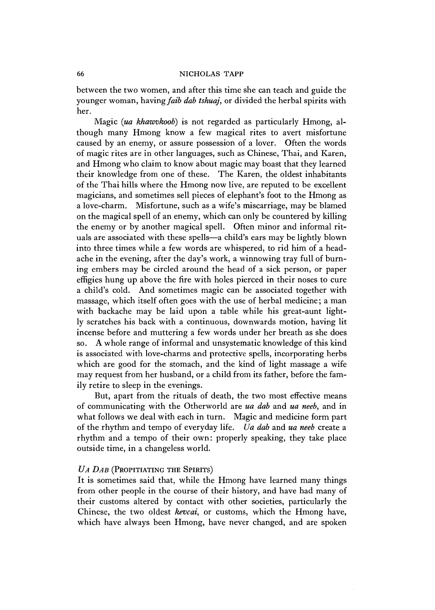between the two women, and after this time she can teach and guide the younger woman, having *faib dab tshuaj* or divided the herbal spirits with her.

Magic *(ua khawvkoob)* is not regarded as particularly Hmong, although many Hmong know a few magical rites to avert misfortune caused by an enemy, or assure possession of a lover. Often the words of magic rites are in other languages, such as Chinese, Thai, and Karen, and Hmong who claim to know about magic may boast that they learned their knowledge from one of these. The Karen, the oldest inhabitants of the Thai hills where the Hmong now live, are reputed to be excellent magicians, and sometimes sell pieces of elephant's foot to the Hmong as a love-charm. Misfortune, such as a wife's miscarriage, may be blamed on the magical spell of an enemy, which can only be countered by killing the enemy or by another magical spell. Often minor and informal rituals are associated with these spells—a child's ears may be lightly blown into three times while a few words are whispered, to rid him of a headache in the evening, after the day's work, a winnowing tray full of burning embers may be circled around the head of a sick person, or paper effigies hung up above the fire with holes pierced in their noses to cure a child's cold. And sometimes magic can be associated together with massage, which itself often goes with the use of herbal medicine; a man with backache may be laid upon a table while his great-aunt lightly scratches his back with a continuous, downwards motion, having lit incense before and muttering a few words under her breath as she does so. A whole range of informal and unsystematic knowledge of this kind is associated with love-charms and protective spells, incorporating herbs which are good for the stomach, and the kind of light massage a wife may request from her husband, or a child from its father, before the family retire to sleep in the evenings.

But, apart from the rituals of death, the two most effective means of communicating with the Otherworld are *ua dab* and *ua neeb,* and in what follows we deal with each in turn. Magic and medicine form part of the rhythm and tempo of everyday life. *Ua dab* and *ua neeb* create a rhythm and a tempo of their own: properly speaking, they take place outside time, in a changeless world.

#### *Ua Dab* (Propitiating the Spirits)

It is sometimes said that, while the Hmong have learned many things from other people in the course of their history, and have had many of their customs altered by contact with other societies, particularly the Chinese, the two oldest *kevcai*, or customs, which the Hmong have, which have always been Hmong, have never changed, and are spoken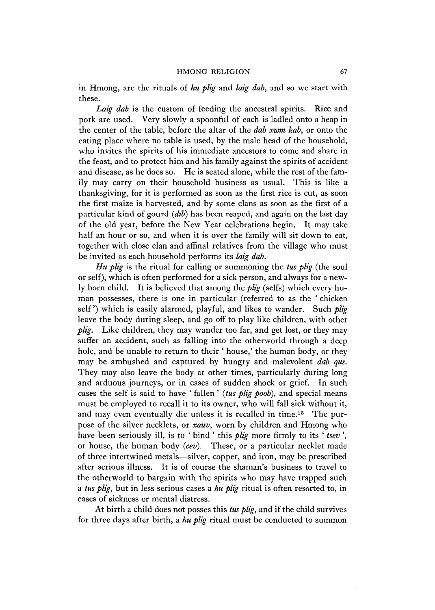in Hmong, are the rituals of *hu plig* and *laig dab,* and so we start with these.

*Laig dab* is the custom of feeding the ancestral spirits. Rice and pork are used. Very slowly a spoonful of each is ladled onto a heap in the center of the table, before the altar of the *dab xwm kab,* or onto the eating place where no table is used, by the male head of the household, who invites the spirits of his immediate ancestors to come and share in the feast, and to protect him and his family against the spirits of accident and disease, as he does so. He is seated alone, while the rest of the family may carry on their household business as usual. This is like a thanksgiving, for it is performed as soon as the first rice is cut, as soon the first maize is harvested, and by some clans as soon as the first of a particular kind of gourd *{dib)* has been reaped, and again on the last day of the old year, before the New Year celebrations begin. It may take half an hour or so, and when it is over the family will sit down to eat, together with close clan and affinal relatives from the village who must be invited as each household performs its *laig dab.*

*Hu plig* is the ritual for calling or summoning the *tus plig* (the soul or self), which is often performed for a sick person, and always for a newly born child. It is believed that among the *plig* (selfs) which every human possesses, there is one in particular (referred to as the 'chicken self ') which is easily alarmed, playful, and likes to wander. Such *plig* leave the body during sleep, and go off to play like children, with other *plig.* Like children, they may wander too far, and get lost, or they may suffer an accident, such as falling into the otherworld through a deep hole, and be unable to return to their ' house,' the human body, or they may be ambushed and captured by hungry and malevolent *dab qus.* They may also leave the body at other times, particularly during long and arduous journeys, or in cases of sudden shock or grief. In such cases the self is said to have ' fallen ' *(tus plig poob),* and special means must be employed to recall it to its owner, who will fall sick without it, and may even eventually die unless it is recalled in time.13 The purpose of the silver necklets, or *xauv,* worn by children and Hmong who have been seriously ill, is to ' bind ' this *plig* more firmly to its ' *tsev* ', or house, the human body *{cev).* These, or a particular necklet made of three intertwined metals—silver, copper, and iron, may be prescribed after serious illness. It is of course the shaman's business to travel to the otherworld to bargain with the spirits who may have trapped such a *tus plig,* but in less serious cases a *hu plig* ritual is often resorted to, in cases of sickness or mental distress.

At birth a child does not posses this *tus plig,* and if the child survives for three days after birth, a *hu plig* ritual must be conducted to summon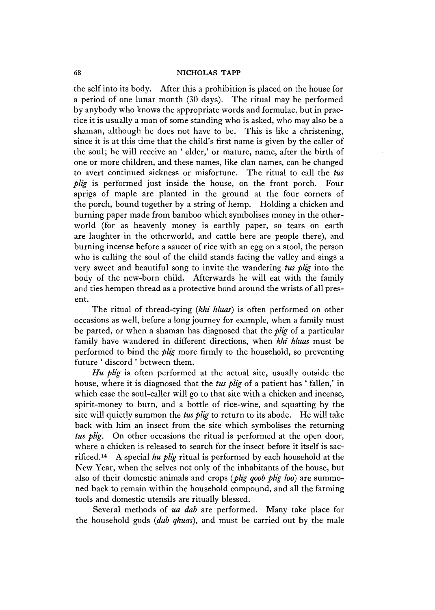the self into its body. After this a prohibition is placed on the house for a period of one lunar month (30 days). The ritual may be performed by anybody who knows the appropriate words and formulae, but in practice it is usually a man of some standing who is asked, who may also be a shaman, although he does not have to be. This is like a christening, since it is at this time that the child's first name is given by the caller of the soul; he will receive an 'elder,' or mature, name, after the birth of one or more children, and these names, like clan names, can be changed to avert continued sickness or misfortune. The ritual to call the *tus plig* is performed just inside the house, on the front porch. Four sprigs of maple are planted in the ground at the four corners of the porch, bound together by a string of hemp. Holding a chicken and burning paper made from bamboo which symbolises money in the otherworld (for as heavenly money is earthly paper, so tears on earth are laughter in the otherworld, and cattle here are people there), and burning incense before a saucer of rice with an egg on a stool, the person who is calling the soul of the child stands facing the valley and sings a very sweet and beautiful song to invite the wandering *tus plig* into the body of the new-born child. Afterwards he will eat with the family and ties hempen thread as a protective bond around the wrists of all present.

The ritual of thread-tying *(khi hluas)* is often performed on other occasions as well, before a long journey for example, when a family must be parted, or when a shaman has diagnosed that the *plig* of a particular family have wandered in different directions, when *kht hluas* must be performed to bind the *plig* more firmly to the household, so preventing future ' discord ' between them.

*Hu plig* is often performed at the actual site, usually outside the house, where it is diagnosed that the *tus plig* of a patient has ' fallen,' in which case the soul-caller will go to that site with a chicken and incense, spirit-money to burn, and a bottle of rice-wine, and squatting by the site will quietly summon the *tus plig* to return to its abode. He will take back with him an insect from the site which symbolises the returning *tus plig.* On other occasions the ritual is performed at the open door, where a chicken is released to search for the insect before it itself is sacrificed.14 A special *hu plig* ritual is performed by each household at the New Year, when the selves not only of the inhabitants of the house, but also of their domestic animals and crops *{plig qoob plig loo)* are summoned back to remain within the household compound, and all the farming tools and domestic utensils are ritually blessed.

Several methods of *ua dab* are performed. Many take place for the household gods *(dab qhuas)*, and must be carried out by the male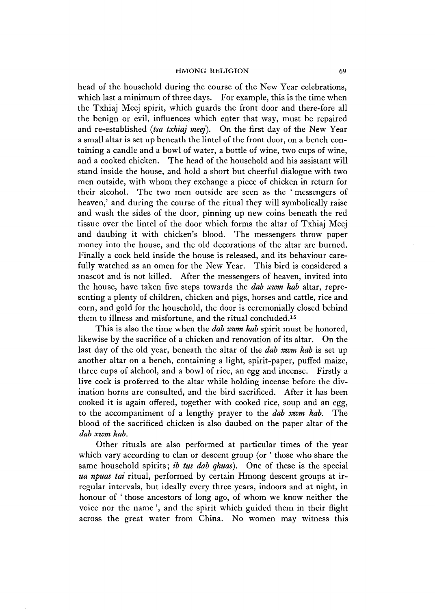head of the household during the course of the New Year celebrations, which last a minimum of three days. For example, this is the time when the Txhiaj Meej spirit, which guards the front door and there-fore all the benign or evil, influences which enter that way, must be repaired and re-established *(tsa txhiaj meej).* On the first day of the New Year a small altar is set up beneath the lintel of the front door, on a bench containing a candle and a bowl of water, a bottle of wine, two cups of wine, and a cooked chicken. The head of the household and his assistant will stand inside the house, and hold a short but cheerful dialogue with two men outside, with whom they exchange a piece of chicken in return for their alcohol. The two men outside are seen as the ' messengers of heaven,' and during the course of the ritual they will symbolically raise and wash the sides of the door, pinning up new coins beneath the red tissue over the lintel of the door which forms the altar of Txhiaj Meej and daubing it with chicken's blood. The messengers throw paper money into the house, and the old decorations of the altar are burned. Finally a cock held inside the house is released, and its behaviour carefully watched as an omen for the New Year. This bird is considered a mascot and is not killed. After the messengers of heaven, invited into the house, have taken five steps towards the *dab xwm kab* altar, representing a plenty of children, chicken and pigs, horses and cattle, rice and corn, and gold for the household, the door is ceremonially closed behind them to illness and misfortune, and the ritual concluded.15

This is also the time when the *dab xwm kab* spirit must be honored, likewise by the sacrifice of a chicken and renovation of its altar. On the last day of the old year, beneath the altar of the *dab xwm kab* is set up another altar on a bench, containing a light, spirit-paper, puffed maize, three cups of alchool, and a bowl of rice, an egg and incense. Firstly a live cock is proferred to the altar while holding incense before the divination horns are consulted, and the bird sacrificed. After it has been cooked it is again offered, together with cooked rice, soup and an egg, to the accompaniment of a lengthy prayer to the *dab xwm kab.* The blood of the sacrificed chicken is also daubed on the paper altar of the *dab xwm kab.*

Other rituals are also performed at particular times of the year which vary according to clan or descent group (or ' those who share the same household spirits; *ib tus dab ghuas*). One of these is the special *ua npuas tai* ritual, performed by certain Hmong descent groups at irregular intervals, but ideally every three years, indoors and at night, in honour of ' those ancestors of long ago, of whom we know neither the voice nor the name', and the spirit which guided them in their flight across the great water from China. No women may witness this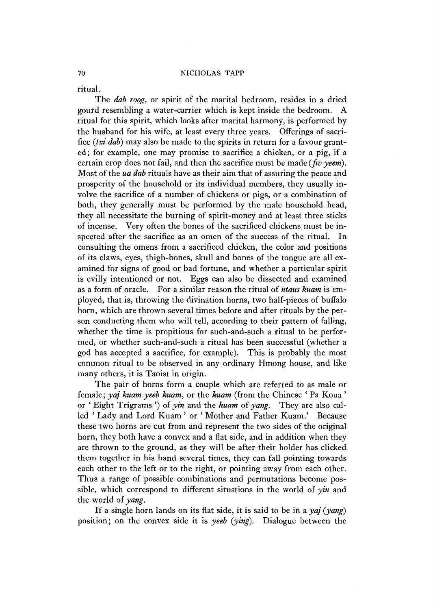ritual.

The *dab roog,* or spirit of the marital bedroom, resides in a dried gourd resembling a water-carrier which is kept inside the bedroom. A ritual for this spirit, which looks after marital harmony, is performed by the husband for his wife, at least every three years. Offerings of sacrifice *(txi dab)* may also be made to the spirits in return for a favour granted; for example, one may promise to sacrifice a chicken, or a pig, if a certain crop does not fail, and then the sacrifice must be made *(fiv yeem).* Most of the *ua dab* rituals have as their aim that of assuring the peace and prosperity of the household or its individual members, they usually involve the sacrifice of a number of chickens or pigs, or a combination of both, they generally must be performed by the male household head, they all necessitate the burning of spirit-money and at least three sticks of incense. Very often the bones of the sacrificed chickens must be inspected after the sacrifice as an omen of the success of the ritual. In consulting the omens from a sacrificed chicken, the color and positions of its claws, eyes, thigh-bones, skull and bones of the tongue are all examined for signs of good or bad fortune, and whether a particular spirit is evilly intentioned or not. Eggs can also be dissected and examined as a form of oracle. For a similar reason the ritual of *ntaus kuam* is employed, that is, throwing the divination horns, two half-pieces of buffalo horn, which are thrown several times before and after rituals by the person conducting them who will tell, according to their pattern of falling, whether the time is propitious for such-and-such a ritual to be performed, or whether such-and-such a ritual has been successful (whether a god has accepted a sacrifice, for example). This is probably the most common ritual to be observed in any ordinary Hmong house, and like many others, it is Taoist in origin.

The pair of horns form a couple which are referred to as male or female; *yaj kuam yeeb kuam,* or the *kuam* (from the Chinese ' Pa Koua ' or ' Eight 1 rigrams \*) of *yin* and the *kuam* of *yang.* They are also called 'Lady and Lord Kuam ' or 'Mother and Father Kuam.' Because these two horns are cut from and represent the two sides of the original horn, they both have a convex and a flat side, and in addition when they are thrown to the ground, as they will be after their holder has clicked them together in his hand several times, they can fall pointing towards each other to the left or to the right, or pointing away from each other. Thus a range of possible combinations and permutations become possible, which correspond to different situations in the world of *yin* and the world of *yang.*

If a single horn lands on its flat side, it is said to be in a *yaj {yang)* position; on the convex side it is *yeeb [ying).* Dialogue between the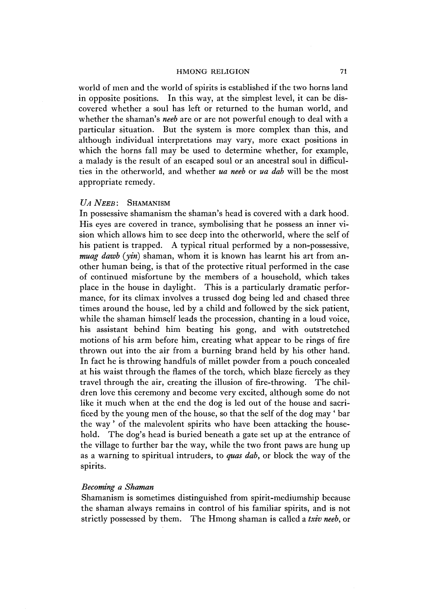world of men and the world of spirits is established if the two horns land in opposite positions. In this way, at the simplest level, it can be discovered whether a soul has left or returned to the human world, and whether the shaman's *neeb* are or are not powerful enough to deal with a particular situation. But the system is more complex than this, and although individual interpretations may vary, more exact positions in which the horns fall may be used to determine whether, for example, a malady is the result of an escaped soul or an ancestral soul in difficulties in the otherworld, and whether *ua neeb* or *va dab* will be the most appropriate remedy.

# *Ua N eeb* : Shamanism

In possessive shamanism the shaman's head is covered with a dark hood. His eyes are covered in trance, symbolising that he possess an inner vision which allows him to see deep into the otherworld, where the self of his patient is trapped. A typical ritual performed by a non-possessive, *muag dazvb (yin)* shaman, whom it is known has learnt his art from another human being, is that of the protective ritual performed in the case of continued misfortune by the members of a household, which takes place in the house in daylight. This is a particularly dramatic performance, for its climax involves a trussed dog being led and chased three times around the house, led by a child and followed by the sick patient, while the shaman himself leads the procession, chanting in a loud voice, his assistant behind him beating his gong, and with outstretched motions of his arm before him, creating what appear to be rings of fire thrown out into the air from a burning brand held by his other hand. In fact he is throwing handfuls of millet powder from a pouch concealed at his waist through the flames of the torch, which blaze fiercely as they travel through the air, creating the illusion of fire-throwing. The children love this ceremony and become very excited, although some do not like it much when at the end the dog is led out of the house and sacrificed by the young men of the house, so that the self of the dog may ' bar the way ' of the malevolent spirits who have been attacking the household. The dog's head is buried beneath a gate set up at the entrance of the village to further bar the way, while the two front paws are hung up as a warning to spiritual intruders, to *quas dab*, or block the way of the spirits.

#### *Becoming a Shaman*

Shamanism is sometimes distinguished from spirit-mediumship because the shaman always remains in control of his familiar spirits, and is not strictly possessed by them. The Hmong shaman is called a *txiv neeb,* or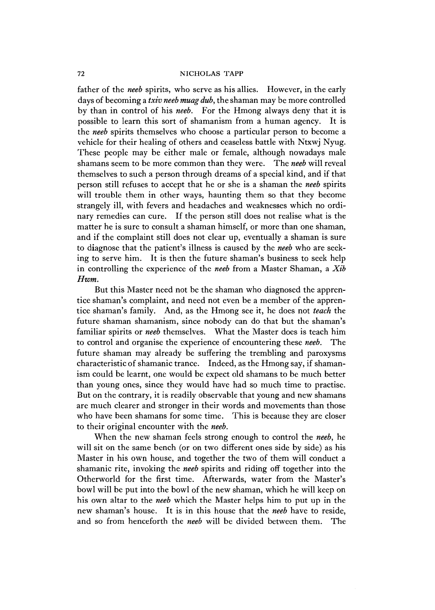father of the *neeb* spirits, who serve as his allies. However, in the early days of becoming a *txiv neeb muag dub,* the shaman may be more controlled by than in control of his *neeb.* For the Hmong always deny that it is possible to learn this sort of shamanism from a human agency. It is the *neeb* spirits themselves who choose a particular person to become a vehicle for their healing of others and ceaseless battle with Ntxwj Nyug. These people may be either male or female, although nowadays male shamans seem to be more common than they were. The *neeb* will reveal themselves to such a person through dreams of a special kind, and if that person still refuses to accept that he or she is a shaman the *neeb* spirits will trouble them in other ways, haunting them so that they become strangely ill, with fevers and headaches and weaknesses which no ordinary remedies can cure. If the person still does not realise what is the matter he is sure to consult a shaman himself, or more than one shaman, and if the complaint still does not clear up, eventually a shaman is sure to diagnose that the patient's illness is caused by the *neeb* who are seeking to serve him. It is then the future shaman's business to seek help in controlling the experience of the *neeb* from a Master Shaman, a *Xib Hwm.*

But this Master need not be the shaman who diagnosed the apprentice shaman's complaint, and need not even be a member of the apprentice shaman's family. And, as the Hmong see it, he does not *teach* the future shaman shamanism, since nobody can do that but the shaman's familiar spirits or *neeb* themselves. What the Master does is teach him to control and organise the experience of encountering these *neeb.* The future shaman may already be suffering the trembling and paroxysms characteristic of shamanic trance. Indeed, as the Hmong say, if shamanism could be learnt, one would be expect old shamans to be much better than young ones, since they would have had so much time to practise. But on the contrary, it is readily observable that young and new shamans are much clearer and stronger in their words and movements than those who have been shamans for some time. This is because they are closer to their original encounter with the *neeb.*

When the new shaman feels strong enough to control the *neeb*, he will sit on the same bench (or on two different ones side by side) as his Master in his own house, and together the two of them will conduct a shamanic rite, invoking the *neeb* spirits and riding off together into the Otherworld for the first time. Afterwards, water from the Master's bowl will be put into the bowl of the new shaman, which he will keep on his own altar to the *neeb* which the Master helps him to put up in the new shaman's house. It is in this house that the *neeb* have to reside, and so from henceforth the *neeb* will be divided between them. The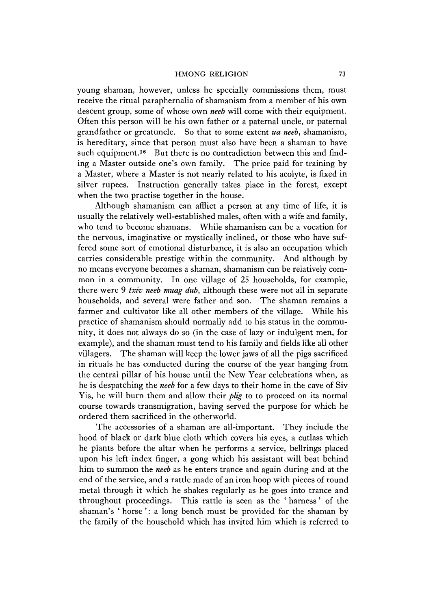young shaman, however, unless he specially commissions them, must receive the ritual paraphernalia of shamanism from a member of his own descent group, some of whose own *neeb* will come with their equipment. Often this person will be his own father or a paternal uncle, or paternal grandfather or greatuncle. So that to some extent *ua neeb,* shamanism, is hereditary, since that person must also have been a shaman to have such equipment.<sup>16</sup> But there is no contradiction between this and finding a Master outside one's own family. The price paid for training by a Master, where a Master is not nearly related to his acolyte, is fixed in silver rupees. Instruction generally takes place in the forest, except when the two practise together in the house.

Although shamanism can afflict a person at any time of life, it is usually the relatively well-established males, often with a wife and family, who tend to become shamans. While shamanism can be a vocation for the nervous, imaginative or mystically inclined, or those who have suffered some sort of emotional disturbance, it is also an occupation which carries considerable prestige within the community. And although by no means everyone becomes a shaman, shamanism can be relatively common in a community. In one village of 25 households, for example, there were 9 *txiv neeb muag dub*, although these were not all in separate households, and several were father and son. The shaman remains a farmer and cultivator like all other members of the village. While his practice of shamanism should normally add to his status in the community, it does not always do so (in the case of lazy or indulgent men, for example), and the shaman must tend to his family and fields like all other villagers. The shaman will keep the lower jaws of all the pigs sacrificed in rituals he has conducted during the course of the year hanging from the central pillar of his house until the New Year celebrations when, as he is despatching the *neeb* for a few days to their home in the cave of Siv Yis, he will burn them and allow their *plig* to to proceed on its normal course towards transmigration, having served the purpose for which he ordered them sacrificed in the otherworld.

The accessories of a shaman are all-important. They include the hood of black or dark blue cloth which covers his eyes, a cutlass which he plants before the altar when he performs a service, bellrings placed upon his left index finger, a gong which his assistant will beat behind him to summon the *neeb* as he enters trance and again during and at the end of the service, and a rattle made of an iron hoop with pieces of round metal through it which he shakes regularly as he goes into trance and throughout proceedings. This rattle is seen as the 'harness' of the shaman's 'horse ': a long bench must be provided for the shaman by the family of the household which has invited him which is referred to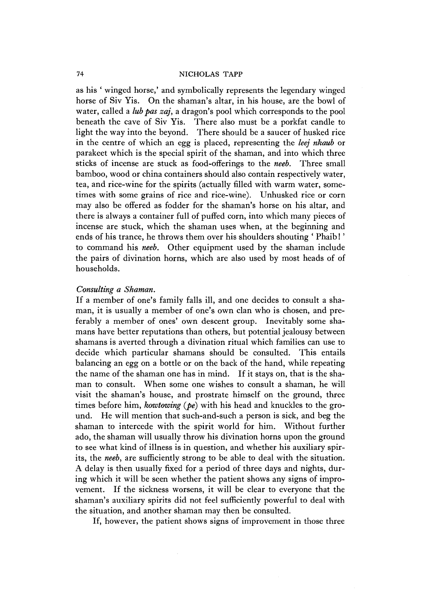as his ' winged horse,' and symbolically represents the legendary winged horse of Siv Yis. On the shaman's altar, in his house, are the bowl of water, called a *lub pas zaj'* a dragon's pool which corresponds to the pool beneath the cave of Siv Yis. There also must be a porkfat candle to light the way into the beyond. There should be a saucer of husked rice in the centre of which an egg is placed, representing the *leej nkaub* or parakeet which is the special spirit of the shaman, and into which three sticks of incense are stuck as food-offerings to the *neeb*. Three small bamboo, wood or china containers should also contain respectively water, tea, and rice-wine for the spirits (actually filled with warm water, sometimes with some grains of rice and rice-wine). Unhusked rice or corn may also be offered as fodder for the shaman's horse on his altar, and there is always a container full of puffed corn, into which many pieces of incense are stuck, which the shaman uses when, at the beginning and ends of his trance, he throws them over his shoulders shouting ' Phaib!' to command his *neeb.* Other equipment used by the shaman include the pairs of divination horns, wnich are also used by most heads of of households.

#### *Consulting a Shaman.*

If a member of one's family falls ill, and one decides to consult a shaman, it is usually a member of one's own clan who is chosen, and preferably a member of ones' own descent group. Inevitably some shamans have better reputations than others, but potential jealousy between shamans is averted through a divination ritual wnich families can use to decide which particular shamans should be consulted. This entails balancing an egg on a bottle or on the back of the hand, while repeating the name of the shaman one has in mind. If it stays on, that is the shaman to consult. When some one wishes to consult a shaman, he will visit the shaman's house, and prostrate himself on the ground, three times before him, *kowtowing (pe)* with his head and knuckles to the ground. He will mention that such-and-such a person is sick, and beg the shaman to intercede with the spirit world for him. Without further ado, the shaman will usually throw his divination horns upon the ground to see what kind of illness is in question, and whether his auxiliary spirits, the *neeb,* are sufficiently strong to be able to deal with the situation. A delay is then usually fixed for a period of three days and nights, during which it will be seen whether the patient shows any signs of improvement. If the sickness worsens, it will be clear to everyone that the shaman's auxiliary spirits did not feel sufficiently powerful to deal with the situation, and another shaman may then be consulted.

If, however, the patient shows signs of improvement in those three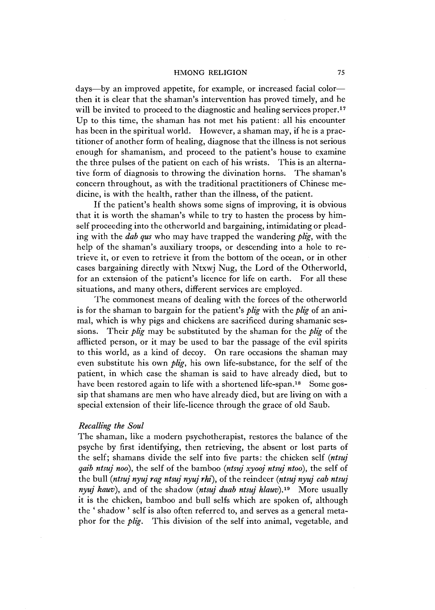days— by an improved appetite, for example, or increased facial color then it is clear that the shaman's intervention has proved timely, and he will be invited to proceed to the diagnostic and healing services proper.<sup>17</sup> Up to this time, the shaman has not met his patient: all his encounter has been in the spiritual world. However, a shaman may, if he is a practitioner of another form of healing, diagnose that the illness is not serious enough for shamanism, and proceed to the patient's house to examine the three pulses of the patient on each of his wrists. This is an alternative form of diagnosis to throwing the divination horns. The shaman's concern throughout, as with the traditional practitioners of Chinese medicine, is with the health, rather than the illness, of the patient.

If the patient's health shows some signs of improving, it is obvious that it is worth the shaman's while to try to hasten the process by himself proceeding into the otherworld and bargaining, intimidating or pleading with the *dab qus* who may have trapped the wandering *plig,* with the help of the shaman's auxiliary troops, or descending into a hole to retrieve it, or even to retrieve it from the bottom of the ocean, or in other cases bargaining directly with Ntxwj Nug, the Lord of the Otherworld, for an extension of the patient's licence for life on earth. For all these situations, and many others, different services are employed.

The commonest means of dealing with the forces of the otherworld is for the shaman to bargain for the patient's *plig* with the *plig* of an animal, which is why pigs and chickens are sacrificed during shamanic sessions. Their *plig* may be substituted by the shaman for the *plig* of the afflicted person, or it may be used to bar the passage of the evil spirits to this world, as a kind of decoy. On rare occasions the shaman may even substitute his own *plig*, his own life-substance, for the self of the patient, in which case the shaman is said to have already died, but to have been restored again to life with a shortened life-span.<sup>18</sup> Some gossip that shamans are men who have already died, but are living on with a special extension of their life-licence through the grace of old Saub.

# *Recalling the Soul*

The shaman, like a modern psychotherapist, restores the balance of the psyche by first identifying, then retrieving, the absent or lost parts of the self; shamans divide the self into five parts: the chicken self *(ntsuj qaib ntsuj noo),* the self of the bamboo *{ntsuj xyooj ntsuj ntoo),* the self of the bull *(ntsuj nyuj rag ntsuj nyuj rhi),* of the reindeer *(ntsuj nyuj cab ntsuj nyuj kauv*), and of the shadow *(ntsuj duab ntsuj hlauv*).<sup>19</sup> More usually it is the chicken, bamboo and bull selfs which are spoken of, although the ' shadow ' self is also often referred to, and serves as a general metaphor for the *plig.* This division of the self into animal, vegetable, and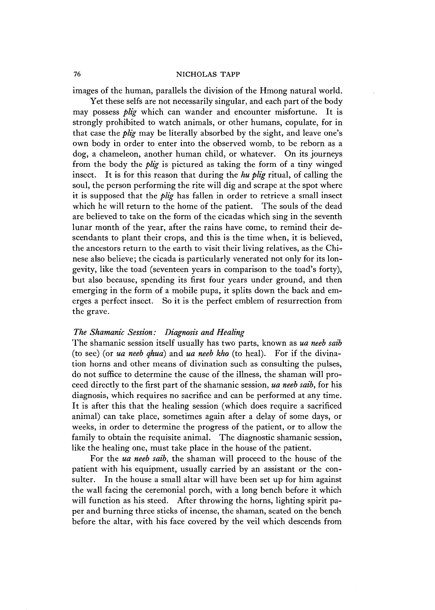images of the human, parallels the division of the Hmong natural world.

Yet these selfs are not necessarily singular, and each part of the body may possess *plig* which can wander and encounter misfortune. It is strongly prohibited to watch animals, or other humans, copulate, for in that case the *plig* may be literally absorbed by the sight, and leave one's own body in order to enter into the observed womb, to be reborn as a dog, a chameleon, another human child, or whatever. On its journeys from the body the *plig* is pictured as taking the form of a tiny winged insect. It is for this reason that during the *hu plig* ritual, of calling the soul, the person performing the rite will dig and scrape at the spot where it is supposed that the *plig* has fallen in order to retrieve a small insect which he will return to the home of the patient. The souls of the dead are believed to take on the form of the cicadas which sing in the seventh lunar month of the year, after the rains have come, to remind their descendants to plant their crops, and this is the time when, it is believed, the ancestors return to the earth to visit their living relatives, as the Chinese also believe; the cicada is particularly venerated not only for its longevity, like the toad (seventeen years in comparison to the toad's forty), but also because, spending its first four years under ground, and then emerging in the form of a mobile pupa, it splits down the back and emerges a perfect insect. So it is the perfect emblem of resurrection from the grave.

# *The Shamanic Session: Diagnosis and Healing*

The shamanic session itself usually has two parts, known as *ua neeb saib* (to see) (or *ua neeb qhua)* and *ua neeb kho* (to heal). For if the divination horns and other means of divination such as consulting the pulses, do not suffice to determine the cause of the illness, the shaman will proceed directly to the first part of the shamanic session, *ua neeb saih*、for his diagnosis, which requires no sacrifice and can be performed at any time. It is after this that the healing session (which does require a sacrificed animal) can take place, sometimes again after a delay of some days, or weeks, in order to determine the progress of the patient, or to allow the family to obtain the requisite animal. The diagnostic shamanic session, like the healing one, must take place in the house of the patient.

For the *ua neeb saib,* the shaman will proceed to the house of the patient with his equipment, usually carried by an assistant or the consulter. In the house a small altar will have been set up for him against the wall facing the ceremonial porch, with a long bench before it which will function as his steed. After throwing the horns, lighting spirit paper and burning three sticks of incense, the shaman, seated on the bench before the altar, with his face covered by the veil which descends from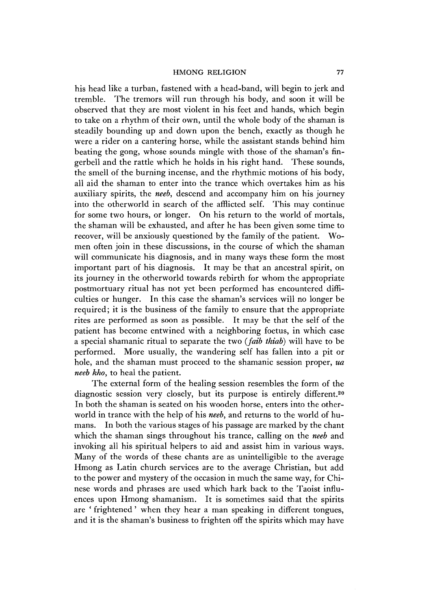his head like a turban, fastened with a head-band, will begin to jerk and tremble. The tremors will run through his body, and soon it will be observed that they are most violent in his feet and hands, which begin to take on a rhythm of their own, until the whole body of the shaman is steadily bounding up and down upon the bench, exactly as though he were a rider on a cantering horse, while the assistant stands behind him beating the gong, whose sounds mingle with those of the shaman's fingerbell and the rattle which he holds in his right hand. These sounds, the smell of the burning incense, and the rhythmic motions of his body, all aid the shaman to enter into the trance which overtakes him as his auxiliary spirits, the *neeb*, descend and accompany him on his journey into the otherworld in search of the afflicted self. This may continue for some two hours, or longer. On his return to the world of mortals, the shaman will be exhausted, and after he has been given some time to recover, will be anxiously questioned by the family of the patient. Women often join in these discussions, in the course of which the shaman will communicate his diagnosis, and in many ways these form the most important part of his diagnosis. It may be that an ancestral spirit, on its journey in the otherworld towards rebirth for whom the appropriate postmortuary ritual has not yet been performed has encountered difficulties or hunger. In this case the shaman's services will no longer be required; it is the business of the family to ensure that the appropriate rites are performed as soon as possible. It may be that the self of the patient has become entwined with a neighboring foetus, in which case a special shamanic ritual to separate the two *(faib thiab)* will have to be performed. More usually, the wandering self has fallen into a pit or hole, and the shaman must proceed to the shamanic session proper, *ua neeb kho,* to heal the patient.

The external form of the healing session resembles the form of the diagnostic session very closely, but its purpose is entirely different.20 In both the shaman is seated on his wooden horse, enters into the otherworld in trance with the help of his *neeb,* and returns to the world of humans. In both the various stages of his passage are marked by the chant which the shaman sings throughout his trance, calling on the *neeb* and invoking all his spiritual helpers to aid and assist him in various ways. Many of the words of these chants are as unintelligible to the average Hmong as Latin church services are to the average Christian, but add to the power and mystery of the occasion in much the same way, for Chinese words and phrases are used which hark back to the Taoist influences upon Hmong shamanism. It is sometimes said that the spirits are ' frightened ' when they hear a man speaking in different tongues, and it is the shaman's business to frighten off the spirits which may have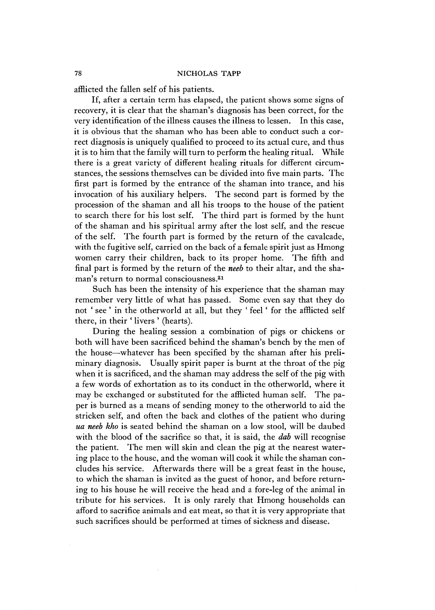afflicted the fallen self of his patients.

If, after a certain term has elapsed, the patient shows some signs of recovery, it is clear that the shaman's diagnosis has been correct, for the very identification of the illness causes the illness to lessen. In this case, it is obvious that the shaman who has been able to conduct such a correct diagnosis is uniquely qualified to proceed to its actual cure, and thus it is to him that the family will turn to perform the healing ritual. While there is a great variety of different healing rituals for different circumstances, the sessions themselves can be divided into five main parts. The first part is formed by the entrance of the shaman into trance, and his invocation of his auxiliary helpers. The second part is formed by the procession of the shaman and all his troops to the house of the patient to search there for his lost self. The third part is formed by the hunt of the shaman and his spiritual army after the lost self, and the rescue of the self. The fourth part is formed by the return of the cavalcade, with the fugitive self, carried on the back of a female spirit just as Hmong women carry their children, back to its proper home. The fifth and final part is formed by the return of the *neeb* to their altar, and the shaman's return to normal consciousness.<sup>21</sup>

Such has been the intensity of his experience that the shaman may remember very little of what has passed. Some even say that they do not 'see' in the otherworld at all, but they 'feel ' for the afflicted self there, in their 'livers' (hearts).

During the healing session a combination of pigs or chickens or both will have been sacrificed behind the shaman's bench by the men of the house—whatever has been specified by the shaman after his preliminary diagnosis. Usually spirit paper is burnt at the throat of the pig when it is sacrificed, and the shaman may address the self of the pig with a few words of exhortation as to its conduct in the otherworld, where it may be exchanged or substituted for the afflicted human self. The paper is burned as a means of sending money to the otherworld to aid the stricken self, and often the back and clothes of the patient who during *ua neeb kho* is seated behind the shaman on a low stool, will be daubed with the blood of the sacrifice so that, it is said, the *dab* will recognise the patient. The men will skin and clean the pig at the nearest watering place to the house, and the woman will cook it while the shaman concludes his service. Afterwards there will be a great feast in the house, to which the shaman is invited as the guest of honor, and before returning to his house he will receive the head and a fore-leg of the animal in tribute for his services. It is only rarely that Hmong households can afford to sacrifice animals and eat meat, so that it is very appropriate that such sacrifices should be performed at times of sickness and disease.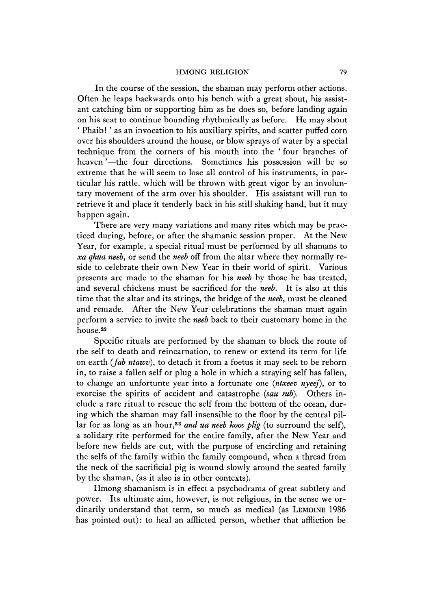In the course of the session, the shaman may perform other actions. Often he leaps backwards onto his bench with a great shout, his assistant catching him or supporting him as he does so, before landing again on his seat to continue bounding rhythmically as before. He may shout ' Phaib! \* as an invocation to his auxiliary spirits, and scatter puffed corn over his shoulders around the house, or blow sprays of water by a special technique from the corners of his mouth into the ' four branches of heaven '—the four directions. Sometimes his possession will be so extreme that he will seem to lose all control of his instruments, in particular his rattle, wnich will be thrown with great vigor by an involuntary movement of the arm over his shoulder. His assistant will run to retrieve it and place it tenderly back in his still shaking hand, but it may happen again.

There are very many variations and many rites which may be practiced during, before, or after the shamanic session proper. At the New Year, for example, a special ritual must be performed by all shamans to *xa qhua neeb,* or send the *neeb* off from the altar where they normally reside to celebrate their own New Year in their world of spirit. Various presents are made to the shaman for his *neeb* by those he has treated, and several chickens must be sacrificed for the *neeb.* It is also at this time that the altar and its strings, the bridge of the *neeb*, must be cleaned and remade. After the New Year celebrations the shaman must again perform a service to invite the *neeb* back to their customary home in the house.22

Specific rituals are performed by the shaman to block the route of the self to death and reincarnation, to renew or extend its term for life on earth *(fab ntawv),* to detach it from a foetus it may seek to be reborn in, to raise a fallen self or plug a hole in which a straying self has fallen, to change an unfortunte year into a fortunate one *{ntxeev nyeej),* or to exorcise the spirits of accident and catastrophe *(sau sub).* Others include a rare ritual to rescue the self from the bottom of the ocean, during which the shaman may fall insensible to the floor by the central pillar for as long as an hour,23 *and ua neeb koos plig* (to surround the self), a solidary rite performed for the entire family, after the New Year and before new fields are cut, with the purpose of encircling and retaining the selfs of the family within the family compound, when a thread from the neck of the sacrificial pig is wound slowly around the seated family by the shaman, (as it also is in other contexts).

Hmong shamanism is in effect a psychodrama of great subtlety and power. Its ultimate aim, however, is not religious, in the sense we ordinarily understand that term, so much as medical (as LEMOINE 1986 has pointed out): to heal an afflicted person, whether that affliction be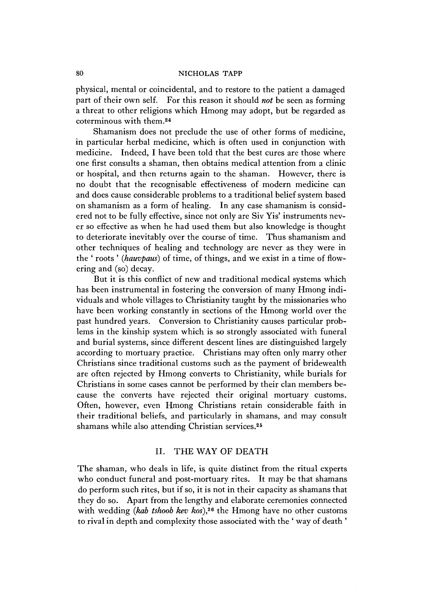physical, mental or coincidental, and to restore to the patient a damaged part of their own self. For this reason it should *not* be seen as forming a threat to other religions which Hmong may adopt, but be regarded as coterminous with them.24

Shamanism does not preclude the use of other forms of medicine, in particular herbal medicine, which is often used in conjunction with medicine. Indeed, I have been told that the best cures are those where one first consults a shaman, then obtains medical attention from a clinic or hospital, and then returns again to the shaman. However, there is no doubt that the recognisable effectiveness of modern medicine can and does cause considerable problems to a traditional belief system based on shamanism as a form of healing. In any case shamanism is considered not to be fully effective, since not only are Siv Yis' instruments never so effective as when he had used them but also knowledge is thought to deteriorate inevitably over the course of time. Thus shamanism and other techniques of healing and technology are never as they were in the 'roots' (hauvpaus) of time, of things, and we exist in a time of flowering and (so) decay.

But it is this conflict of new and traditional medical systems which has been instrumental in fostering the conversion of many Hmong individuals and whole villages to Christianity taught by the missionaries who have been working constantly in sections of the Hmong world over the past hundred years. Conversion to Christianity causes particular problems in the kinship system which is so strongly associated with funeral and burial systems, since different descent lines are distinguished largely according to mortuary practice. Christians may often only marry other Christians since traditional customs such as the payment of bridewealth are often rejected by Hmong converts to Christianity, while burials for Christians in some cases cannot be performed by their clan members because the converts have rejected their original mortuary customs. Often, however, even Hmong Christians retain considerable faith in their traditional beliefs, and particularly in shamans, and may consult shamans while also attending Christian services.<sup>25</sup>

# II. THE WAY OF DEATH

The shaman, who deals in life, is quite distinct from the ritual experts who conduct funeral and post-mortuary rites. It may be that shamans do perform such rites, but if so, it is not in their capacity as shamans that they do so. Apart from the lengthy and elaborate ceremonies connected with wedding *(kab tshoob kev kos)*,<sup>26</sup> the Hmong have no other customs to rival in depth and complexity those associated with the ' way of death '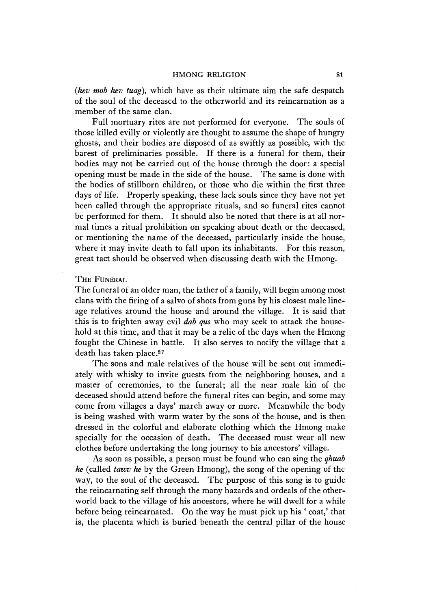*{kev mob kev tuag),* which have as their ultimate aim the safe despatch of the soul of the deceased to the otherworld and its reincarnation as a member of the same clan.

Full mortuary rites are not performed for everyone. The souls of those killed evilly or violently are thought to assume the shape of hungry ghosts, and their bodies are disposed of as swiftly as possible, with the barest of preliminaries possible. If there is a funeral for them, their bodies may not be carried out of the house through the door: a special opening must be made in the side of the house. The same is done with the bodies of stillborn children, or those who die within the first three days of life. Properly speaking, these lack souls since they have not yet been called through the appropriate rituals, and so funeral rites cannot be performed for them. It should also be noted that there is at all normal times a ritual prohibition on speaking about death or the deceased, or mentioning the name of the deceased, particularly inside the house, where it may invite death to fall upon its inhabitants. For this reason, great tact should be observed when discussing death with the Hmong.

#### THE FUNERAL

The funeral of an older man, the father of a family, will begin among most clans with the firing of a salvo of shots from guns by his closest male lineage relatives around the house and around the village. It is said that this is to frighten away evil *dab qus* who may seek to attack the household at this time, and that it may be a relic of the days when the Hmong fought the Chinese in battle. It also serves to notify the village that a death has taken place.<sup>27</sup>

The sons and male relatives of the house will be sent out immediately with whisky to invite guests from the neighboring houses, and a master of ceremonies, to the funeral; all the near male kin of the deceased should attend before the funeral rites can begin, and some may come from villages a days' march away or more. Meanwhile the body is being washed with warm water by the sons of the house, and is then dressed in the colorful and elaborate clothing which the Hmong make specially for the occasion of death. The deceased must wear all new clothes before undertaking the long journey to his ancestors' village.

As soon as possible, a person must be found who can sing the *qhuab ke* (called *tawv ke* by the Green Hmong), the song of the opening of the way, to the soul of the deceased. The purpose of this song is to guide the reincarnating self through the many hazards and ordeals of the otherworld back to the village of his ancestors, where he will dwell for a while before being reincarnated. On the way he must pick up his ' coat,' that is, the placenta which is buried beneath the central pillar of the house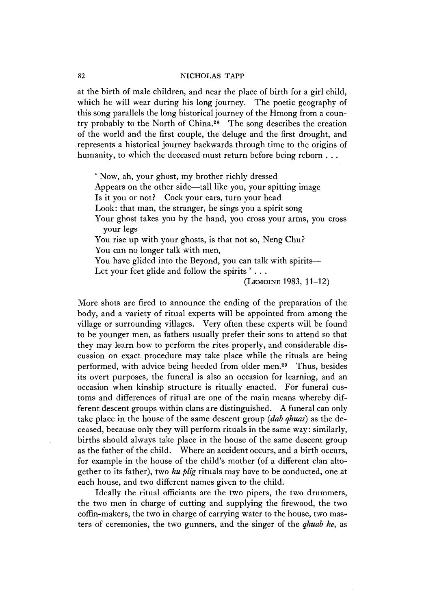at the birth of male children, and near the place of birth for a girl child, which he will wear during his long journey. The poetic geography of this song parallels the long historical journey of the Hmong from a country probably to the North of China.28 The song describes the creation of the world and the first couple, the deluge and the first drought, and represents a historical journey backwards through time to the origins of humanity, to which the deceased must return before being reborn . . .

' Now, ah, your ghost, my brother richly dressed

Appears on the other side—tall like you, your spitting image

Is it you or not? Cock your ears, turn your head

Look: that man, the stranger, he sings you a spirit song

Your ghost takes you by the hand, you cross your arms, you cross your legs

You rise up with your ghosts, is that not so, Neng Chu? You can no longer talk with men,

You have glided into the Beyond, you can talk with spirits—

Let your feet glide and follow the spirits ' . . .

(LEMOINE 1983, 11-12)

More shots are fired to announce the ending of the preparation of the body, and a variety of ritual experts will be appointed from among the village or surrounding villages. Very often these experts will be found to be younger men, as fathers usually prefer their sons to attend so that they may learn how to perform the rites properly, and considerable discussion on exact procedure may take place while the rituals are being performed, with advice being heeded from older men.29 Thus, besides its overt purposes, the funeral is also an occasion for learning, and an occasion when kinship structure is ritually enacted. For funeral customs and differences of ritual are one of the main means whereby different descent groups within clans are distinguished. A funeral can only take place in the house of the same descent group *(dab qhuas)* as the deceased, because only they will perform rituals in the same way: similarly, births should always take place in the house of the same descent group as the father of the child. Where an accident occurs, and a birth occurs, for example in the house of the child's mother (of a different clan altogether to its father), two *hu plig* rituals may have to be conducted, one at each house, and two different names given to the child.

Ideally the ritual officiants are the two pipers, the two drummers, the two men in charge of cutting and supplying the firewood, the two coffin-makers, the two in charge of carrying water to the house, two masters of ceremonies, the two gunners, and the singer of the *qhuab ke,* as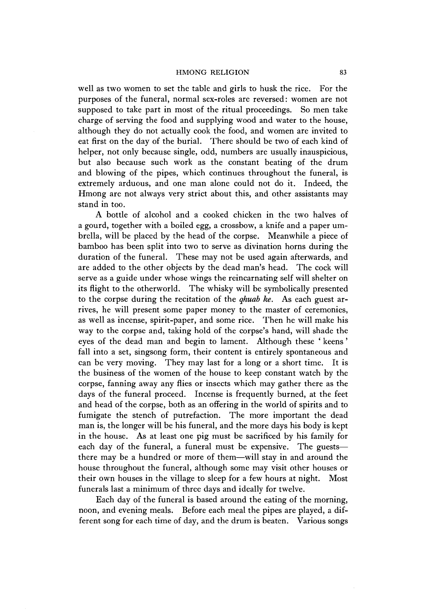well as two women to set the table and girls to husk the rice. For the purposes of the funeral, normal sex-roles are reversed: women are not supposed to take part in most of the ritual proceedings. So men take charge of serving the food and supplying wood and water to the house, although they do not actually cook the food, and women are invited to eat first on the day of the burial. There should be two of each kind of helper, not only because single, odd, numbers are usually inauspicious, but also because such work as the constant beating of the drum and blowing of the pipes, which continues throughout the funeral, is extremely arduous, and one man alone could not do it. Indeed, the Hmong are not always very strict about this, and other assistants may stand in too.

A bottle of alcohol and a cooked chicken in the two halves of a gourd, together with a boiled egg, a crossbow, a knife and a paper umbrella, will be placed by the head of the corpse. Meanwhile a piece of bamboo has been split into two to serve as divination horns during the duration of the funeral. These may not be used again afterwards, and are added to the other objects by the dead man's head. The cock will serve as a guide under whose wings the reincarnating self will shelter on its flight to the otherworld. The whisky will be symbolically presented to the corpse during the recitation of the *qhuab ke.* As each guest arrives, he will present some paper money to the master of ceremonies, as well as incense, spirit-paper, and some rice. Then he will make his way to the corpse and, taking hold of the corpse's hand, will shade the eyes of the dead man and begin to lament. Although these 'keens' fall into a set, singsong form, their content is entirely spontaneous and can be very moving. They may last for a long or a short time. It is the business of the women of the house to keep constant watch by the corpse, fanning away any flies or insects which may gather there as the days of the funeral proceed. Incense is frequently burned, at the feet and head of the corpse, both as an offering in the world of spirits and to fumigate the stench of putrefaction. The more important the dead man is, the longer will be his funeral, and the more days his body is kept in the house. As at least one pig must be sacrificed by his family for each day of the funeral, a funeral must be expensive. The guests there may be a hundred or more of them—will stay in and around the house throughout the funeral, although some may visit other houses or their own houses in the village to sleep for a few hours at night. Most funerals last a minimum of three days and ideally for twelve.

Each day of the funeral is based around the eating of the morning, noon, and evening meals. Before each meal the pipes are played, a different song for each time of day, and the drum is beaten. Various songs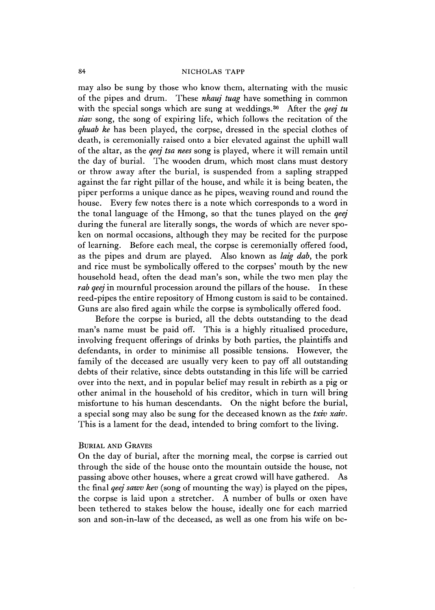may also be sung by those who know them, alternating with the music of the pipes and drum. These *nkauj tuag* have something in common with the special songs which are sung at weddings.<sup>30</sup> After the *qeej tu siav* song, the song of expiring life, which follows the recitation of the *qhuab ke* has been played, the corpse, dressed in the special clothes of death, is ceremonially raised onto a bier elevated against the uphill wall or the altar, as the *qeej tsa nees* song is played, where it will remain until the day of burial. The wooden drum, which most clans must destory or throw away after the burial, is suspended from a sapling strapped against the far right pillar of the house, and while it is being beaten, the piper performs a unique dance as he pipes, weaving round and round the house. Every few notes there is a note which corresponds to a word in the tonal language of the Hmong, so that the tunes played on the *qeej* during the funeral are literally songs, the words of which are never spoken on normal occasions, although they may be recited for the purpose of learning. Before each meal, the corpse is ceremonially offered food, as the pipes and drum are played. Also known as *laig dab,* the pork and rice must be symbolically offered to the corpses' mouth by the new household head, often the dead man's son, while the two men play the *rab qeej* in mournful procession around the pillars of the house. In these reed-pipes the entire repository of Hmong custom is said to be contained. Guns are also fired again while the corpse is symbolically offered food.

Before the corpse is buried, all the debts outstanding to the dead man's name must be paid off. This is a highly ritualised procedure, involving frequent offerings of drinks by both parties, the plaintiffs and defendants, in order to minimise all possible tensions. However, the family of the deceased are usually very keen to pay off all outstanding debts of their relative, since debts outstanding in this life will be carried over into the next, and in popular belief may result in rebirth as a pig or other animal in the household of his creditor, which in turn will bring misfortune to his human descendants. On the night before the burial, a special song may also be sung for the deceased known as the *txiv xaiv.* This is a lament for the dead, intended to bring comfort to the living.

# **BURIAL AND GRAVES**

On the day of burial, after the morning meal, the corpse is carried out through the side of the house onto the mountain outside the house, not passing above other houses, where a great crowd will have gathered. As the final *qeej sawv kev* (song of mounting the way) is played on the pipes, the corpse is laid upon a stretcher. A number of bulls or oxen have been tethered to stakes below the house, ideally one for each married son and son-in-law of the deceased, as well as one from his wife on be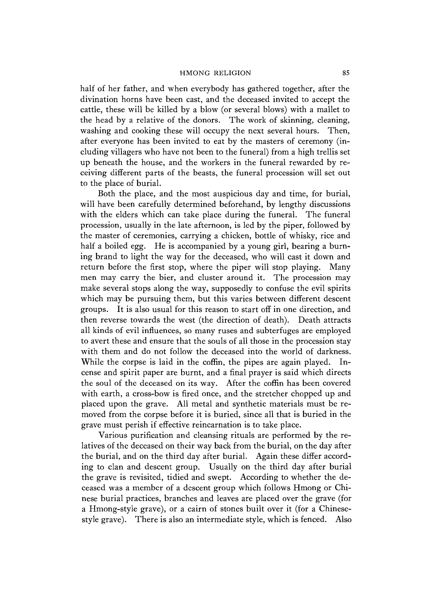half of her father, and when everybody has gathered together, after the divination horns have been cast, and the deceased invited to accept the cattle, these will be killed by a blow (or several blows) with a mallet to the head by a relative of the donors. The work of skinning, cleaning, washing and cooking these will occupy the next several hours. Then, after everyone has been invited to eat by the masters of ceremony (including villagers who have not been to the funeral) from a high trellis set up beneath the house, and the workers in the funeral rewarded by receiving different parts of the beasts, the funeral procession will set out to the place of burial.

Both the place, and the most auspicious day and time, for burial, will have been carefully determined beforehand, by lengthy discussions with the elders which can take place during the funeral. The funeral procession, usually in the late afternoon, is led by the piper, followed by the master of ceremonies, carrying a chicken, bottle of whisky, rice and half a boiled egg. He is accompanied by a young girl, bearing a burning brand to light the way for the deceased, who will cast it down and return before the first stop, where the piper will stop playing. Many men may carry the bier, and cluster around it. The procession may make several stops along the way, supposedly to confuse the evil spirits which may be pursuing them, but this varies between different descent groups. It is also usual for this reason to start off in one direction, and then reverse towards the west (the direction of death). Death attracts all kinds of evil influences, so many ruses and subterfuges are employed to avert these and ensure that the souls of all those in the procession stay with them and do not follow the deceased into the world of darkness. While the corpse is laid in the coffin, the pipes are again played. Incense and spirit paper are burnt, and a final prayer is said which directs the soul of the deceased on its way. After the coffin has been covered with earth, a cross-bow is fired once, and the stretcher chopped up and placed upon the grave. All metal and synthetic materials must be removed from the corpse before it is buried, since all that is buried in the grave must perish if effective reincarnation is to take place.

Various purification and cleansing rituals are performed by the relatives of the deceased on their way back from the burial, on the day after the burial, and on the third day after burial. Again these differ according to clan and descent group. Usually on the third day after burial the grave is revisited, tidied and swept. According to whether the deceased was a member of a descent group which follows Hmong or Chinese burial practices, branches and leaves are placed over the grave (for a Hmong-style grave), or a cairn of stones built over it (for a Chinesestyle grave). There is also an intermediate style, which is fenced. Also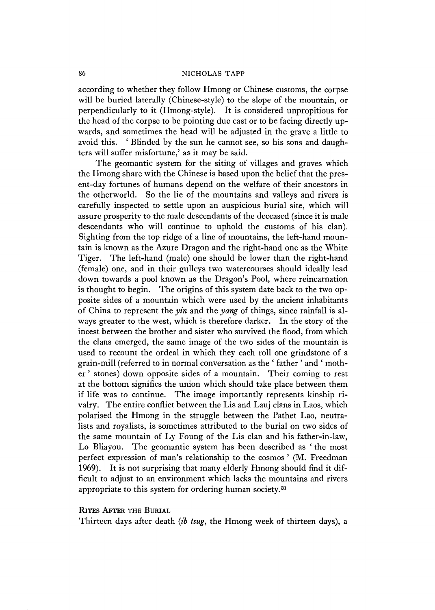according to whether they follow Hmong or Chinese customs, the corpse will be buried laterally (Chinese-style) to the slope of the mountain, or perpendicularly to it (Hmong-style). It is considered unpropitious for the head of the corpse to be pointing due east or to be facing directly upwards, and sometimes the head will be adjusted in the grave a little to avoid this. 'Blinded by the sun he cannot see, so his sons and daughters will suffer misfortune,' as it may be said.

The geomantic system for the siting of villages and graves which the Hmong share with the Chinese is based upon the belief that the present-day fortunes of humans depend on the welfare of their ancestors in the otherworld. So the lie of the mountains and valleys and rivers is carefully inspected to settle upon an auspicious burial site, which will assure prosperity to the male descendants of the deceased (since it is male descendants who will continue to uphold the customs of his clan). Sighting from the top ridge of a line of mountains, the left-hand mountain is known as the Azure Dragon and the right-hand one as the White Tiger. The lett-hand (male) one should be lower than the right-hand (female) one, and in their gulleys two watercourses should ideally lead down towards a pool known as the Dragon's Pool, where reincarnation is thought to begin. The origins of this system date back to the two opposite sides of a mountain which were used by the ancient inhabitants of China to represent the *yin* and the *yang* of things, since rainfall is always greater to the west, which is therefore darker. In the story of the incest between the brother and sister who survived the flood, from which the clans emerged, the same image of the two sides of the mountain is used to recount the ordeal in which they each roll one grindstone of a grain-mill (referred to in normal conversation as the ' father ' and ' mother ' stones) down opposite sides of a mountain. Their coming to rest at the bottom signifies the union which should take place between them if life was to continue. The image importantly represents kinship rivalry. The entire conflict between the Lis and Lauj clans in Laos, which polarised the Hmong in the struggle between the Pathet Lao, neutralists and royalists, is sometimes attributed to the burial on two sides of the same mountain of Ly Foung of the Lis clan and his father-in-law, Lo Bliayou. The geomantic system has been described as ' the most perfect expression of man's relationship to the cosmos ' (M. Freedman 1969). It is not surprising that many elderly Hmong should find it difficult to adjust to an environment which lacks the mountains and rivers appropriate to this system for ordering human society.<sup>31</sup>

#### Rites After the Burial

Thirteen days after death *(ib tsug,* the Hmong week of thirteen days), a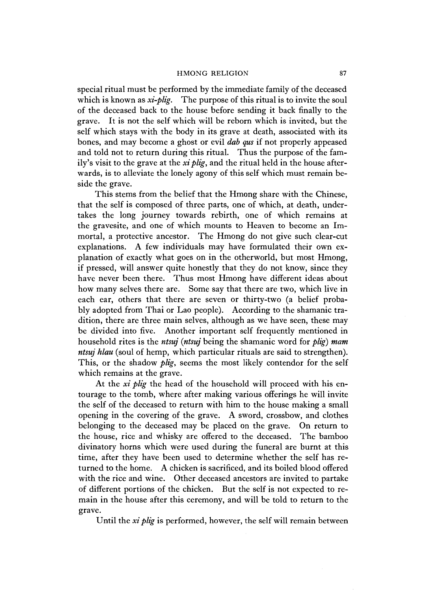special ritual must be performed by the immediate family of the deceased which is known as *xi-plig*. The purpose of this ritual is to invite the soul of the deceased back to the house before sending it back finally to the grave. It is not the self which will be reborn which is invited, but the self which stays with the body in its grave at death, associated with its bones, and may become a ghost or evil *dab qus* if not properly appeased and told not to return during this ritual. Thus the purpose of the family's visit to the grave at the *xi plig*, and the ritual held in the house afterwards, is to alleviate the lonely agony of this self which must remain beside the grave.

This stems from the belief that the Hmong share with the Chinese, that the self is composed of three parts, one of which, at death, undertakes the long journey towards rebirth, one of which remains at the gravesite, and one of which mounts to Heaven to become an Immortal, a protective ancestor. The Hmong do not give such clear-cut explanations. A few individuals may have formulated their own explanation of exactly what goes on in the otherworld, but most Hmong, if pressed, will answer quite honestly that they do not know, since they have never been there. Thus most Hmong have different ideas about how many selves there are. Some say that there are two, which live in each ear, others that there are seven or thirty-two (a belief probably adopted from Thai or Lao people). According to the shamanic tradition, there are three main selves, although as we have seen, these may be divided into five. Another important self frequently mentioned in household rites is the *ntsuj {ntsuj* being the shamanic word for *plig) mam ntsuj hlau* (soul of hemp, which particular rituals are said to strengthen). This, or the shadow *plig,* seems the most likely contendor for the self which remains at the grave.

At the *xi plig* the head of the household will proceed with his entourage to the tomb, where after making various offerings he will invite the self of the deceased to return with him to the house making a small opening in the covering of the grave. A sword, crossbow, and clothes belonging to the deceased may be placed on the grave. On return to the house, rice and whisky are offered to the deceased. The bamboo divinatory horns which were used during the funeral are burnt at this time, after they have been used to determine whether the self has returned to the home. A chicken is sacrificed, and its boiled blood offered with the rice and wine. Other deceased ancestors are invited to partake of different portions of the chicken. But the self is not expected to remain in the house after this ceremony, and will be told to return to the grave.

Until the *xi plig* is performed, however, the self will remain between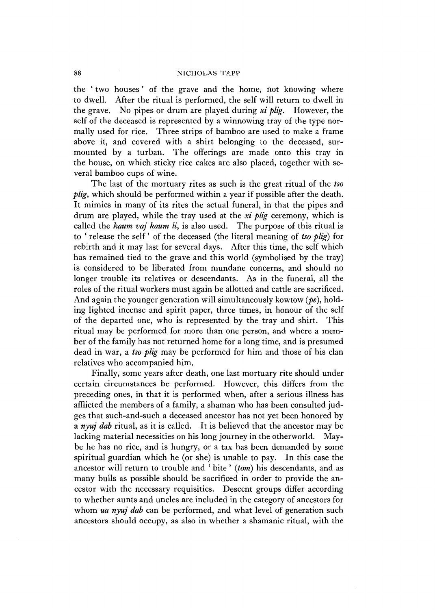the 'two houses' of the grave and the home, not knowing where to dwell. After the ritual is performed, the self will return to dwell in the grave. No pipes or drum are played during *xi plig.* However, the self of the deceased is represented by a winnowing tray of the type normally used for rice. Three strips of bamboo are used to make a frame above it, and covered with a shirt belonging to the deceased, surmounted by a turban. The offerings are made onto this tray in the house, on which sticky rice cakes are also placed, together with several bamboo cups of wine.

The last of the mortuary rites as such is the great ritual of the *tso plig,* which should be performed within a year if possible after the death. It mimics in many of its rites the actual funeral, in that the pipes and drum are played, while the tray used at the *xi plig* ceremony, which is called the *kaum vaj kaum li,* is also used. The purpose of this ritual is to ' release the self ' of the deceased (the literal meaning of *tso plig)* for rebirth and it may last for several days. After this time, the self which has remained tied to the grave and this world (symbolised by the tray) is considered to be liberated from mundane concerns, and should no longer trouble its relatives or descendants. As in the funeral, all the roles of the ritual workers must again be allotted and cattle are sacrificed. And again the younger generation will simultaneously kowtow *(pe),* holding lighted incense and spirit paper, three times, in honour of the self of the departed one, who is represented by the tray and shirt. This ritual may be performed for more than one person, and where a member of the family has not returned home for a long time, and is presumed dead in war, a *tso plig* may be performed for him and those of his clan relatives who accompanied him.

Finally, some years after death, one last mortuary rite should under certain circumstances be performed. However, this differs from the preceding ones, in that it is performed when, after a serious illness has afflicted the members of a family, a shaman who has been consulted judges that such-and-such a deceased ancestor has not yet been honored by a *nyuj dab* ritual, as it is called. It is believed that the ancestor may be lacking material necessities on his long journey in the otherworld. Maybe he has no rice, and is hungry, or a tax has been demanded by some spiritual guardian wnich he (or she) is unable to pay. In this case the ancestor will return to trouble and ' bite ' *{tom)* his descendants, and as many bulls as possible should be sacrificed in order to provide the ancestor with the necessary requisities. Descent groups differ according to whether aunts and uncles are included in the category of ancestors for whom *ua nyuj dab* can be performed, and what level of generation such ancestors should occupy, as also in whether a shamanic ritual, with the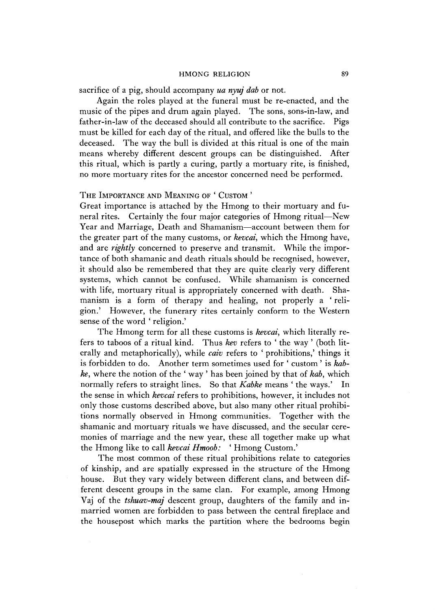sacrifice of a pig, should accompany *ua nyuj dab* or not.

Again the roles played at the funeral must be re-enacted, and the music of the pipes and drum again played. The sons, sons-in-law, and father-in-law of the deceased should all contribute to the sacrifice. Pigs must be killed for each day of the ritual, and offered like the bulls to the deceased. The way the bull is divided at this ritual is one of the main means whereby different descent groups can be distinguished. After this ritual, which is partly a curing, partly a mortuary rite, is finished, no more mortuary rites for the ancestor concerned need be performed.

# THE IMPORTANCE AND MEANING OF ' CUSTOM'

Great importance is attached by the Hmong to their mortuary and funeral rites. Certainly the four major categories of Hmong ritual—New Year and Marriage, Death and Shamanism—account between them for the greater part of the many customs, or *kevcai*, which the Hmong have, and are *rightly* concerned to preserve and transmit. While the importance of both shamanic and death rituals should be recognised, however, it should also be remembered that they are quite clearly very different systems, which cannot be confused. While shamanism is concerned with life, mortuary ritual is appropriately concerned with death. Shamanism is a form of therapy and healing, not properly a ' religion.' However, the funerary rites certainly conform to the Western sense of the word ' religion.'

The Hmong term for all these customs is *kevcai,* which literally refers to taboos of a ritual kind. Thus *kev* refers to ' the way ' (both literally and metaphorically), while *caiv* refers to 'prohibitions,' things it is forbidden to do. Another term sometimes used for ' custom ' is *kabke,* where the notion of the ' way ' has been joined by that of *kab,* which normally refers to straight lines. So that *Kabke* means 'the ways.' In the sense in wnich *kevcai* refers to prohibitions, however, it includes not only those customs described above, but also many other ritual prohibitions normally observed in Hmong communities. Together with the shamanic and mortuary rituals we have discussed, and the secular ceremonies of marriage and the new year, these all together make up what the Hmong like to call *kevcai Hmoob:* 'Hmong Custom.'

The most common of these ritual prohibitions relate to categories of kinship, and are spatially expressed in the structure of the Hmong house. But they vary widely between different clans, and between different descent groups in the same clan. For example, among Hmong Vaj of the *tshuav-maj* descent group, daughters of the family and inmarried women are forbidden to pass between the central fireplace and the housepost which marks the partition where the bedrooms begin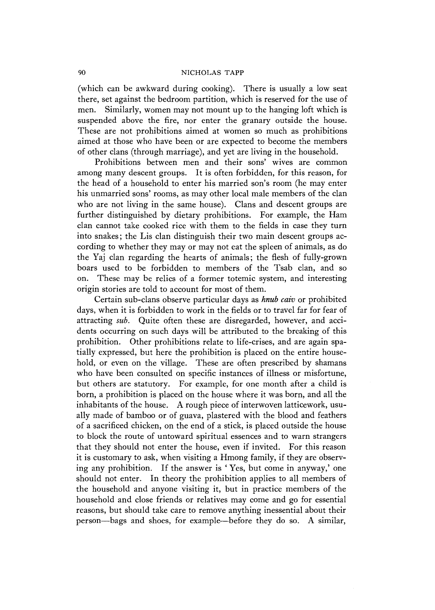(which can be awkward during cooking). There is usually a low seat there, set against the bedroom partition, which is reserved for the use of men. Similarly, women may not mount up to the hanging loft which is suspended above the fire, nor enter the granary outside the house. These are not prohibitions aimed at women so much as prohibitions aimed at those who have been or are expected to become the members of other clans (through marriage), and yet are living in the household.

Prohibitions between men and their sons' wives are common among many descent groups. It is often forbidden, for this reason, for the head of a household to enter his married son's room (he may enter his unmarried sons' rooms, as may other local male members of the clan who are not living in the same house). Clans and descent groups are further distinguished by dietary prohibitions. For example, the Ham clan cannot take cooked rice with them to the fields in case they turn into snakes; the Lis clan distinguish their two main descent groups according to whether they may or may not eat the spleen of animals, as do the Yaj clan regarding the hearts of animals; the flesh of fully-grown boars used to be forbidden to members of the Tsab clan, and so on. These may be relics of a former totemic system, and interesting origin stories are told to account for most of them.

Certain sub-clans observe particular days as *hnub caw* or prohibited days, when it is forbidden to work in the fields or to travel far for fear of attracting *sub.* Quite often these are disregarded, however, and accidents occurring on such days will be attributed to the breaking of this prohibition. Other prohibitions relate to life-crises, and are again spatially expressed, but here the prohibition is placed on the entire household, or even on the village. These are often prescribed by shamans who have been consulted on specific instances of illness or misfortune, but others are statutory. For example, for one month after a child is born, a prohibition is placed on the house where it was born, and all the inhabitants of the house. A rough piece of interwoven latticework, usually made of bamboo or of guava, plastered with the blood and feathers of a sacrificed chicken, on the end of a stick, is placed outside the house to block the route of untoward spiritual essences and to warn strangers that they should not enter the house, even if invited. For this reason it is customary to ask, when visiting a Hmong family, if they are observing any prohibition. If the answer is \* Yes, but come in anyway/ one should not enter. In theory the prohibition applies to all members of the household and anyone visiting it, but in practice members of the household and close friends or relatives may come and go for essential reasons, but should take care to remove anything inessential about their person—bags and shoes, for example—before they do so. A similar,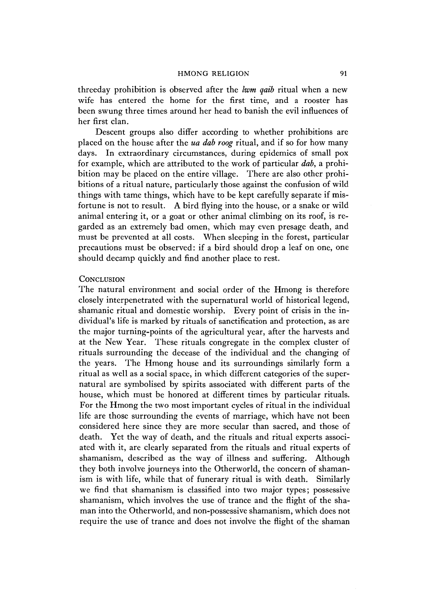threeday prohibition is observed after the *lwm qaib* ritual when a new wife has entered the home for the first time, and a rooster has been swung three times around her head to banish the evil influences of her first clan.

Descent groups also differ according to whether prohibitions are placed on the house after the *ua dab roog* ritual, and if so for how many days. In extraordinary circumstances, during epidemics of small pox for example, which are attributed to the work of particular *dab* a prohibition may be placed on the entire village. There are also other prohibitions of a ritual nature, particularly those against the confusion of wild things with tame things, which have to be kept carefully separate if misfortune is not to result. A bird flying into the house, or a snake or wild animal entering it, or a goat or other animal climbing on its roof, is regarded as an extremely bad omen, which may even presage death, and must be prevented at all costs. When sleeping in the forest, particular precautions must be observed: if a bird should drop a leaf on one, one should decamp quickly and find another place to rest.

#### **CONCLUSION**

The natural environment and social order of the Hmong is therefore closely interpenetrated with the supernatural world of historical legend, shamanic ritual and domestic worship. Every point of crisis in the individual's life is marked by rituals of sanctification and protection, as are the major turning-points of the agricultural year, after the harvests and at the New Year. These rituals congregate in the complex cluster of rituals surrounding the decease of the individual and the changing of the years. The Hmong house and its surroundings similarly form a ritual as well as a social space, in which different categories of the supernatural are symbolised by spirits associated with different parts of the house, which must be honored at different times by particular rituals. For the Hmong the two most important cycles of ritual in the individual life are those surrounding the events of marriage, which have not been considered here since they are more secular than sacred, and those of death. Yet the way of death, and the rituals and ritual experts associated with it, are clearly separated from the rituals and ritual experts of shamanism, described as the way of illness and suffering. Although they both involve journeys into the Otherworld, the concern of shamanism is with life, while that of funerary ritual is with death. Similarly we find that shamanism is classified into two major types; possessive shamanism, which involves the use of trance and the flight of the shaman into the Otherworld, and non-possessive shamanism, which does not require the use of trance and does not involve the flight of the shaman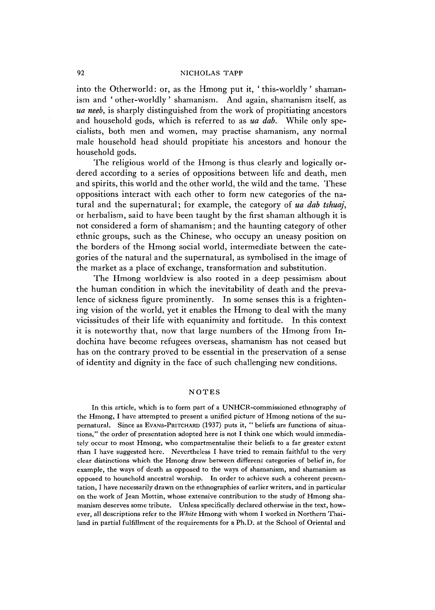into the Otherworld: or, as the Hmong put it, \* this-worldly ' shamanism and ' other-worldly ' shamanism. And again, shamanism itself, as *ua neeb*, is sharply distinguished from the work of propitiating ancestors and household gods, which is referred to as *ua dab.* While only specialists, both men and women, may practise shamanism, any normal male household head should propitiate his ancestors and honour the household gods.

The religious world of the Hmong is thus clearly and logically ordered according to a series of oppositions between life and death, men and spirits, this world and the other world, the wild and the tame. These oppositions interact with each other to form new categories of the natural and the supernatural; for example, the category of *ua dab tshuaj,* or herbalism, said to have been taught by the first shaman although it is not considered a form of shamanism; and the haunting category of other ethnic groups, such as the Chinese, who occupy an uneasy position on the borders of the Hmong social world, intermediate between the categories of the natural and the supernatural, as symbolised in the image of the market as a place of exchange, transformation and substitution.

The Hmong worldview is also rooted in a deep pessimism about the human condition in which the inevitability of death and the prevalence of sickness figure prominently. In some senses this is a frightening vision of the world, yet it enables the Hmong to deal with the many vicissitudes of their life with equanimity and fortitude. In this context it is noteworthy that, now that large numbers of the Hmong from Indochina have become refugees overseas, shamanism has not ceased but has on the contrary proved to be essential in the preservation of a sense or identity and dignity in the face of such challenging new conditions.

#### NOTES

In this article, which is to form part of a UNHCR-commissioned ethnography of the Hmong, I have attempted to present a unified picture of Hmong notions of the supernatural. Since as EVANS-PRITCHARD (1937) puts it, " beliefs are functions of situations," the order of presentation adopted here is not I think one which would immediately occur to most Hmong, who compartmentalise their beliefs to a far greater extent than I have suggested here. Nevertheless I have tried to remain faithful to the very clear distinctions which the Hmong draw between different categories of beliet in, for example, the ways of death as opposed to the ways of shamanism, and shamanism as opposed to household ancestral worship. In order to achieve such a coherent presentation, I have necessarily drawn on the ethnographies of earlier writers, and in particular on the work of Jean Mottin, whose extensive contribution to the study of Hmong shamanism deserves some tribute. Unless specifically declared otherwise in the text, however, all descriptions refer to the *White* Hmong with whom I worked in Northern Thailand in partial fulfillment of the requirements for a Ph.D. at the School of Oriental and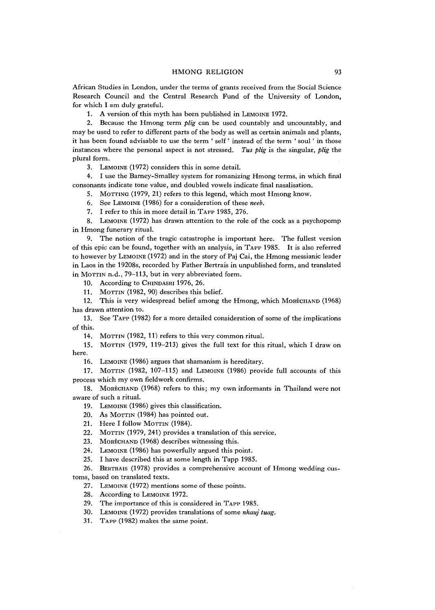African Studies in London, under the terms of grants received from the Social Science Research Council and the Central Research Fund of the University of London, for which I am duly grateful.

1. A version of this myth has been published in LEMOINE 1972.

2. Because the Hmong term *plig* can be used countably and uncountably, and may be used to refer to different parts of the body as well as certain animals and plants, it has been found advisable to use the term ' self ' instead of the term ' soul ' in those instances where the personal aspect is not stressed. *Tus plig* is the singular, *plig* the plural form.

3. LEMOINE (1972) considers this in some detail.

4. I use the Barney- Smalley system for romanizing Hmong terms, in which final consonants indicate tone value, and doubled vowels indicate final nasalisation.

5. MOTTING (1979, 21) refers to this legend, which most Hmong know.

6. See Lemoine (1986) for a consideration of these *neeb.*

7. I refer to this in more detail in Tapp 1985, 276.

8. LEMOINE (1972) has drawn attention to the role of the cock as a psychopomp in Hmong funerary ritual.

9. The notion of the tragic catastrophe is important here. The fullest version of this epic can be found, together with an analysis, in Tapp 1985. It is also referred to however by LEMOINE (1972) and in the story of Paj Cai, the Hmong messianic leader in Laos in the 19208s, recorded by Father Bertrais in unpublished form, and translated in MOTTIN n.d., 79-113, but in very abbreviated form.

10. According to CHINDASRI 1976, 26.

11. Morrin (1982, 90) describes this belief.

12. This is very widespread belief among the Hmong, which MORÉCHAND (1968) has drawn attention to.

13. See TAPP (1982) for a more detailed consideration of some of the implications of this.

14. MOTTIN (1982, 11) refers to this very common ritual.

15. MOTTIN (1979, 119-213) gives the full text for this ritual, which I draw on here.

16. LEMOINE (1986) argues that shamanism is hereditary.

17. MOTTIN (1982, 107-115) and LEMOINE (1986) provide full accounts of this process which my own fieldwork confirms.

18. MORÉCHAND (1968) refers to this; my own informants in Thailand were not aware of such a ritual.

19. LEMOINE (1986) gives this classification.

20. As MOTTIN (1984) has pointed out.

21. Here I follow MOTTIN (1984).

22. MOTTIN (1979, 241) provides a translation of this service.

23. MORÉCHAND (1968) describes witnessing this.

24. LEMOINE (1986) has powerfully argued this point.

25. I have described this at some length in Tapp 1985.

26. BERTRAIS (1978) provides a comprehensive account of Hmong wedding customs, based on translated texts.

27. LEMOINE (1972) mentions some of these points.

28. According to LEMOINE 1972.

29. The importance of this is considered in Tapp 1985.

30. LEMOINE (1972) provides translations of some *nkauj tuag*.

31. TAPP (1982) makes the same point.